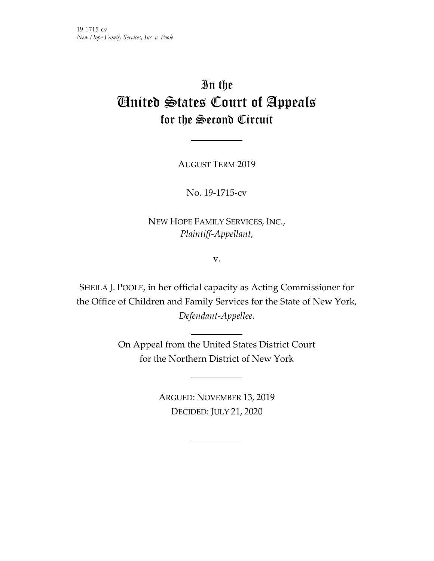# In the United States Court of Appeals for the Second Circuit

AUGUST TERM 2019

No. 19-1715-cv

NEW HOPE FAMILY SERVICES, INC., *Plaintiff-Appellant*,

v.

SHEILA J. POOLE, in her official capacity as Acting Commissioner for the Office of Children and Family Services for the State of New York, *Defendant-Appellee*.

> On Appeal from the United States District Court for the Northern District of New York

> > ARGUED: NOVEMBER 13, 2019 DECIDED: JULY 21, 2020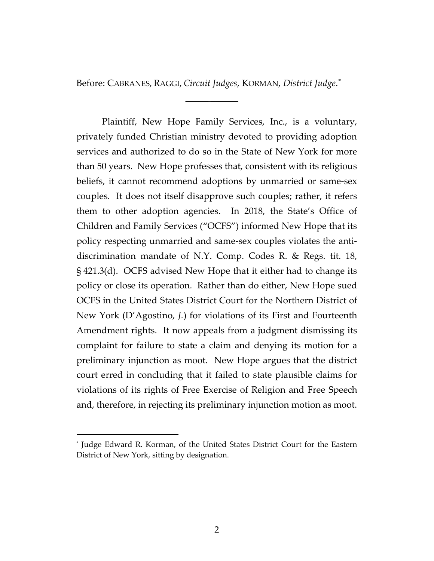Before: CABRANES, RAGGI, *Circuit Judges*, KORMAN, *District Judge*. [\\*](#page-1-0)

 $\overline{\phantom{a}}$  ,  $\overline{\phantom{a}}$  ,  $\overline{\phantom{a}}$  ,  $\overline{\phantom{a}}$  ,  $\overline{\phantom{a}}$  ,  $\overline{\phantom{a}}$  ,  $\overline{\phantom{a}}$  ,  $\overline{\phantom{a}}$  ,  $\overline{\phantom{a}}$  ,  $\overline{\phantom{a}}$  ,  $\overline{\phantom{a}}$  ,  $\overline{\phantom{a}}$  ,  $\overline{\phantom{a}}$  ,  $\overline{\phantom{a}}$  ,  $\overline{\phantom{a}}$  ,  $\overline{\phantom{a}}$ 

Plaintiff, New Hope Family Services, Inc., is a voluntary, privately funded Christian ministry devoted to providing adoption services and authorized to do so in the State of New York for more than 50 years. New Hope professes that, consistent with its religious beliefs, it cannot recommend adoptions by unmarried or same-sex couples. It does not itself disapprove such couples; rather, it refers them to other adoption agencies. In 2018, the State's Office of Children and Family Services ("OCFS") informed New Hope that its policy respecting unmarried and same-sex couples violates the antidiscrimination mandate of N.Y. Comp. Codes R. & Regs. tit. 18, § 421.3(d). OCFS advised New Hope that it either had to change its policy or close its operation. Rather than do either, New Hope sued OCFS in the United States District Court for the Northern District of New York (D'Agostino, *J.*) for violations of its First and Fourteenth Amendment rights. It now appeals from a judgment dismissing its complaint for failure to state a claim and denying its motion for a preliminary injunction as moot. New Hope argues that the district court erred in concluding that it failed to state plausible claims for violations of its rights of Free Exercise of Religion and Free Speech and, therefore, in rejecting its preliminary injunction motion as moot.

<span id="page-1-0"></span><sup>\*</sup> Judge Edward R. Korman, of the United States District Court for the Eastern District of New York, sitting by designation.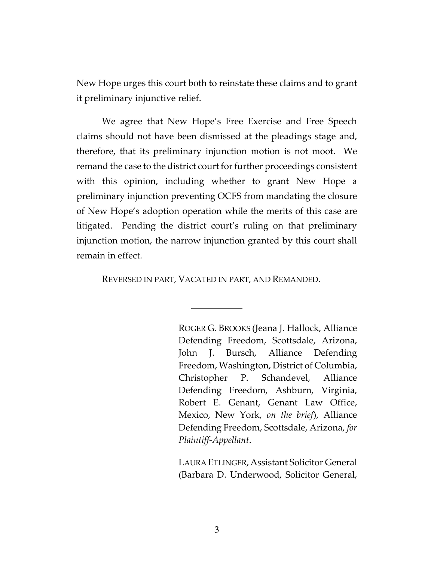New Hope urges this court both to reinstate these claims and to grant it preliminary injunctive relief.

We agree that New Hope's Free Exercise and Free Speech claims should not have been dismissed at the pleadings stage and, therefore, that its preliminary injunction motion is not moot. We remand the case to the district court for further proceedings consistent with this opinion, including whether to grant New Hope a preliminary injunction preventing OCFS from mandating the closure of New Hope's adoption operation while the merits of this case are litigated. Pending the district court's ruling on that preliminary injunction motion, the narrow injunction granted by this court shall remain in effect.

REVERSED IN PART, VACATED IN PART, AND REMANDED.

ROGER G. BROOKS (Jeana J. Hallock, Alliance Defending Freedom, Scottsdale, Arizona, John J. Bursch, Alliance Defending Freedom, Washington, District of Columbia, Christopher P. Schandevel, Alliance Defending Freedom, Ashburn, Virginia, Robert E. Genant, Genant Law Office, Mexico, New York, *on the brief*), Alliance Defending Freedom, Scottsdale, Arizona, *for Plaintiff-Appellant*.

LAURA ETLINGER, Assistant Solicitor General (Barbara D. Underwood, Solicitor General,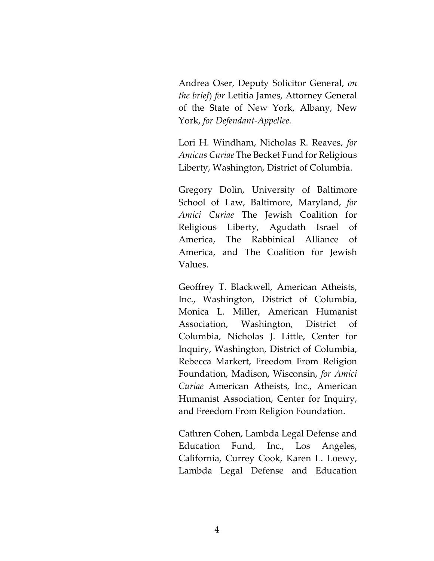Andrea Oser, Deputy Solicitor General, *on the brief*) *for* Letitia James, Attorney General of the State of New York, Albany, New York, *for Defendant-Appellee.*

Lori H. Windham, Nicholas R. Reaves, *for Amicus Curiae* The Becket Fund for Religious Liberty, Washington, District of Columbia.

Gregory Dolin, University of Baltimore School of Law, Baltimore, Maryland, *for Amici Curiae* The Jewish Coalition for Religious Liberty, Agudath Israel of America, The Rabbinical Alliance of America, and The Coalition for Jewish Values.

Geoffrey T. Blackwell, American Atheists, Inc., Washington, District of Columbia, Monica L. Miller, American Humanist Association, Washington, District of Columbia, Nicholas J. Little, Center for Inquiry, Washington, District of Columbia, Rebecca Markert, Freedom From Religion Foundation, Madison, Wisconsin, *for Amici Curiae* American Atheists, Inc., American Humanist Association, Center for Inquiry, and Freedom From Religion Foundation.

Cathren Cohen, Lambda Legal Defense and Education Fund, Inc., Los Angeles, California, Currey Cook, Karen L. Loewy, Lambda Legal Defense and Education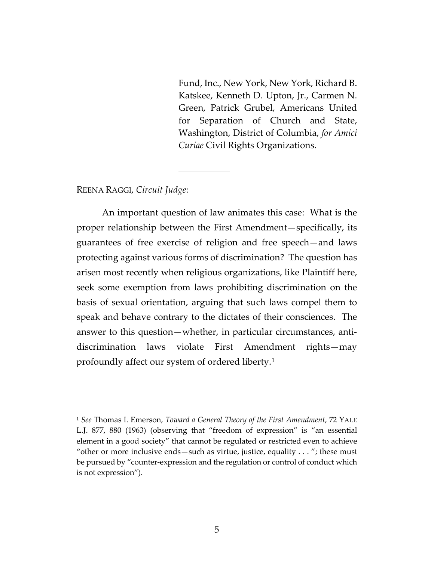Fund, Inc., New York, New York, Richard B. Katskee, Kenneth D. Upton, Jr., Carmen N. Green, Patrick Grubel, Americans United for Separation of Church and State, Washington, District of Columbia, *for Amici Curiae* Civil Rights Organizations.

# REENA RAGGI, *Circuit Judge*:

 $\overline{a}$ 

An important question of law animates this case: What is the proper relationship between the First Amendment—specifically, its guarantees of free exercise of religion and free speech—and laws protecting against various forms of discrimination? The question has arisen most recently when religious organizations, like Plaintiff here, seek some exemption from laws prohibiting discrimination on the basis of sexual orientation, arguing that such laws compel them to speak and behave contrary to the dictates of their consciences. The answer to this question—whether, in particular circumstances, antidiscrimination laws violate First Amendment rights—may profoundly affect our system of ordered liberty.[1](#page-4-0)

<span id="page-4-0"></span><sup>1</sup> *See* Thomas I. Emerson, *Toward a General Theory of the First Amendment*, 72 YALE L.J. 877, 880 (1963) (observing that "freedom of expression" is "an essential element in a good society" that cannot be regulated or restricted even to achieve "other or more inclusive ends—such as virtue, justice, equality  $\dots$ "; these must be pursued by "counter-expression and the regulation or control of conduct which is not expression").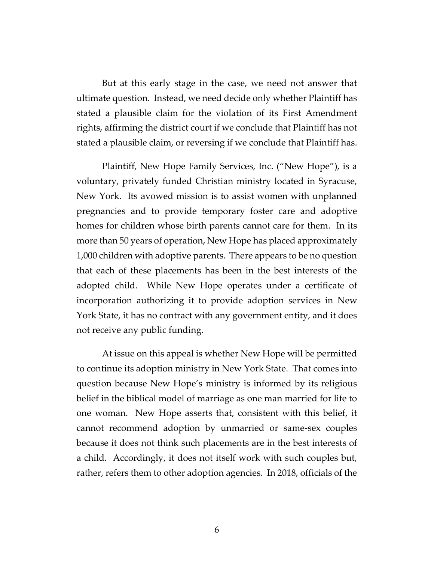But at this early stage in the case, we need not answer that ultimate question. Instead, we need decide only whether Plaintiff has stated a plausible claim for the violation of its First Amendment rights, affirming the district court if we conclude that Plaintiff has not stated a plausible claim, or reversing if we conclude that Plaintiff has.

Plaintiff, New Hope Family Services, Inc. ("New Hope"), is a voluntary, privately funded Christian ministry located in Syracuse, New York. Its avowed mission is to assist women with unplanned pregnancies and to provide temporary foster care and adoptive homes for children whose birth parents cannot care for them. In its more than 50 years of operation, New Hope has placed approximately 1,000 children with adoptive parents. There appears to be no question that each of these placements has been in the best interests of the adopted child. While New Hope operates under a certificate of incorporation authorizing it to provide adoption services in New York State, it has no contract with any government entity, and it does not receive any public funding.

 At issue on this appeal is whether New Hope will be permitted to continue its adoption ministry in New York State. That comes into question because New Hope's ministry is informed by its religious belief in the biblical model of marriage as one man married for life to one woman. New Hope asserts that, consistent with this belief, it cannot recommend adoption by unmarried or same-sex couples because it does not think such placements are in the best interests of a child. Accordingly, it does not itself work with such couples but, rather, refers them to other adoption agencies. In 2018, officials of the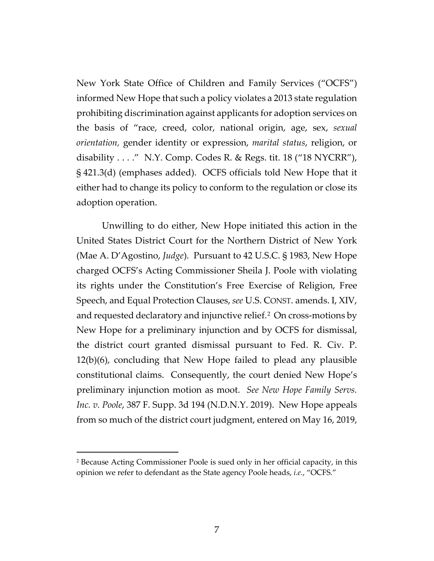New York State Office of Children and Family Services ("OCFS") informed New Hope that such a policy violates a 2013 state regulation prohibiting discrimination against applicants for adoption services on the basis of "race, creed, color, national origin, age, sex, *sexual orientation,* gender identity or expression, *marital status*, religion, or disability . . . ." N.Y. Comp. Codes R. & Regs. tit. 18 ("18 NYCRR"), § 421.3(d) (emphases added). OCFS officials told New Hope that it either had to change its policy to conform to the regulation or close its adoption operation.

Unwilling to do either, New Hope initiated this action in the United States District Court for the Northern District of New York (Mae A. D'Agostino, *Judge*). Pursuant to 42 U.S.C. § 1983, New Hope charged OCFS's Acting Commissioner Sheila J. Poole with violating its rights under the Constitution's Free Exercise of Religion, Free Speech, and Equal Protection Clauses, *see* U.S. CONST. amends. I, XIV, and requested declaratory and injunctive relief.<sup>[2](#page-6-0)</sup> On cross-motions by New Hope for a preliminary injunction and by OCFS for dismissal, the district court granted dismissal pursuant to Fed. R. Civ. P. 12(b)(6), concluding that New Hope failed to plead any plausible constitutional claims. Consequently, the court denied New Hope's preliminary injunction motion as moot. *See New Hope Family Servs. Inc. v. Poole*, 387 F. Supp. 3d 194 (N.D.N.Y. 2019). New Hope appeals from so much of the district court judgment, entered on May 16, 2019,

<span id="page-6-0"></span><sup>2</sup> Because Acting Commissioner Poole is sued only in her official capacity, in this opinion we refer to defendant as the State agency Poole heads, *i.e.*, "OCFS."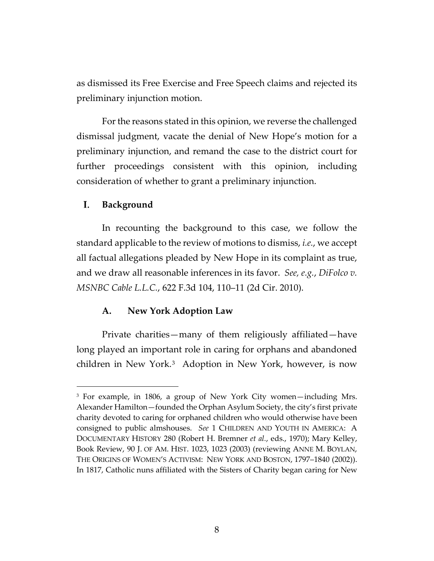as dismissed its Free Exercise and Free Speech claims and rejected its preliminary injunction motion.

For the reasons stated in this opinion, we reverse the challenged dismissal judgment, vacate the denial of New Hope's motion for a preliminary injunction, and remand the case to the district court for further proceedings consistent with this opinion, including consideration of whether to grant a preliminary injunction.

#### I. **Background**

 $\overline{a}$ 

In recounting the background to this case, we follow the standard applicable to the review of motions to dismiss, *i.e.*, we accept all factual allegations pleaded by New Hope in its complaint as true, and we draw all reasonable inferences in its favor. *See, e.g.*, *DiFolco v. MSNBC Cable L.L.C.*, 622 F.3d 104, 110–11 (2d Cir. 2010).

# **A. New York Adoption Law**

Private charities—many of them religiously affiliated—have long played an important role in caring for orphans and abandoned children in New York.[3](#page-7-0) Adoption in New York, however, is now

<span id="page-7-0"></span><sup>3</sup> For example, in 1806, a group of New York City women—including Mrs. Alexander Hamilton—founded the Orphan Asylum Society, the city's first private charity devoted to caring for orphaned children who would otherwise have been consigned to public almshouses. *See* 1 CHILDREN AND YOUTH IN AMERICA: A DOCUMENTARY HISTORY 280 (Robert H. Bremner *et al.*, eds., 1970); Mary Kelley, Book Review, 90 J. OF AM. HIST. 1023, 1023 (2003) (reviewing ANNE M. BOYLAN, THE ORIGINS OF WOMEN'S ACTIVISM: NEW YORK AND BOSTON, 1797–1840 (2002)). In 1817, Catholic nuns affiliated with the Sisters of Charity began caring for New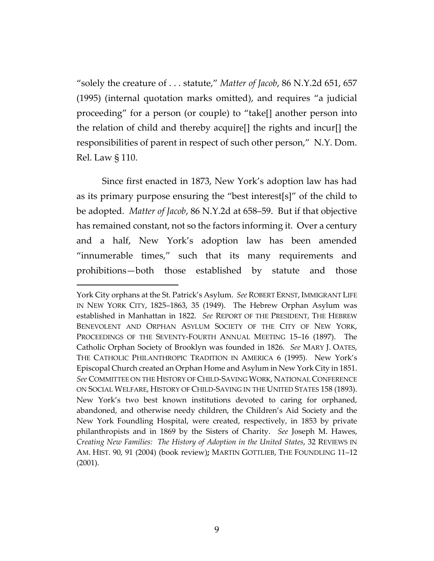"solely the creature of . . . statute," *Matter of Jacob*, 86 N.Y.2d 651, 657 (1995) (internal quotation marks omitted), and requires "a judicial proceeding" for a person (or couple) to "take[] another person into the relation of child and thereby acquire[] the rights and incur[] the responsibilities of parent in respect of such other person," N.Y. Dom. Rel. Law § 110.

Since first enacted in 1873, New York's adoption law has had as its primary purpose ensuring the "best interest[s]" of the child to be adopted. *Matter of Jacob*, 86 N.Y.2d at 658–59. But if that objective has remained constant, not so the factors informing it. Over a century and a half, New York's adoption law has been amended "innumerable times," such that its many requirements and prohibitions—both those established by statute and those

York City orphans at the St. Patrick's Asylum. *See* ROBERT ERNST, IMMIGRANT LIFE IN NEW YORK CITY, 1825–1863, 35 (1949). The Hebrew Orphan Asylum was established in Manhattan in 1822. *See* REPORT OF THE PRESIDENT, THE HEBREW BENEVOLENT AND ORPHAN ASYLUM SOCIETY OF THE CITY OF NEW YORK, PROCEEDINGS OF THE SEVENTY-FOURTH ANNUAL MEETING 15–16 (1897). The Catholic Orphan Society of Brooklyn was founded in 1826. *See* MARY J. OATES, THE CATHOLIC PHILANTHROPIC TRADITION IN AMERICA 6 (1995). New York's Episcopal Church created an Orphan Home and Asylum in New York City in 1851. *See* COMMITTEE ON THE HISTORY OF CHILD-SAVING WORK, NATIONAL CONFERENCE ON SOCIAL WELFARE, HISTORY OF CHILD-SAVING IN THE UNITED STATES 158 (1893). New York's two best known institutions devoted to caring for orphaned, abandoned, and otherwise needy children, the Children's Aid Society and the New York Foundling Hospital, were created, respectively, in 1853 by private philanthropists and in 1869 by the Sisters of Charity. *See* Joseph M. Hawes, *Creating New Families: The History of Adoption in the United States*, 32 REVIEWS IN AM. HIST. 90, 91 (2004) (book review)**;** MARTIN GOTTLIEB, THE FOUNDLING 11–12 (2001).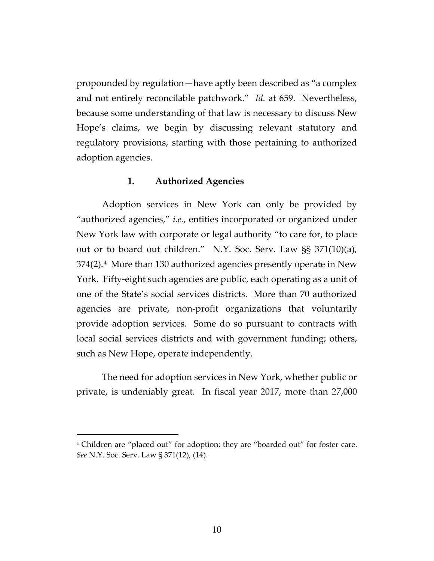propounded by regulation—have aptly been described as "a complex and not entirely reconcilable patchwork." *Id.* at 659. Nevertheless, because some understanding of that law is necessary to discuss New Hope's claims, we begin by discussing relevant statutory and regulatory provisions, starting with those pertaining to authorized adoption agencies.

# **1. Authorized Agencies**

Adoption services in New York can only be provided by "authorized agencies," *i.e.*, entities incorporated or organized under New York law with corporate or legal authority "to care for, to place out or to board out children." N.Y. Soc. Serv. Law §§ 371(10)(a), 374(2).[4](#page-9-0) More than 130 authorized agencies presently operate in New York. Fifty-eight such agencies are public, each operating as a unit of one of the State's social services districts. More than 70 authorized agencies are private, non-profit organizations that voluntarily provide adoption services. Some do so pursuant to contracts with local social services districts and with government funding; others, such as New Hope, operate independently.

The need for adoption services in New York, whether public or private, is undeniably great. In fiscal year 2017, more than 27,000

<span id="page-9-0"></span><sup>&</sup>lt;sup>4</sup> Children are "placed out" for adoption; they are "boarded out" for foster care. *See* N.Y. Soc. Serv. Law § 371(12), (14).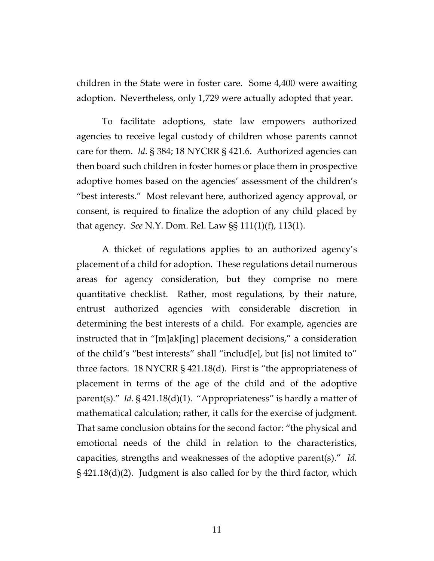children in the State were in foster care. Some 4,400 were awaiting adoption. Nevertheless, only 1,729 were actually adopted that year.

To facilitate adoptions, state law empowers authorized agencies to receive legal custody of children whose parents cannot care for them. *Id.* § 384; 18 NYCRR § 421.6. Authorized agencies can then board such children in foster homes or place them in prospective adoptive homes based on the agencies' assessment of the children's "best interests." Most relevant here, authorized agency approval, or consent, is required to finalize the adoption of any child placed by that agency. *See* N.Y. Dom. Rel. Law §§ 111(1)(f), 113(1).

A thicket of regulations applies to an authorized agency's placement of a child for adoption. These regulations detail numerous areas for agency consideration, but they comprise no mere quantitative checklist. Rather, most regulations, by their nature, entrust authorized agencies with considerable discretion in determining the best interests of a child. For example, agencies are instructed that in "[m]ak[ing] placement decisions," a consideration of the child's "best interests" shall "includ[e], but [is] not limited to" three factors. 18 NYCRR § 421.18(d). First is "the appropriateness of placement in terms of the age of the child and of the adoptive parent(s)." *Id.* § 421.18(d)(1). "Appropriateness" is hardly a matter of mathematical calculation; rather, it calls for the exercise of judgment. That same conclusion obtains for the second factor: "the physical and emotional needs of the child in relation to the characteristics, capacities, strengths and weaknesses of the adoptive parent(s)." *Id.*  § 421.18(d)(2). Judgment is also called for by the third factor, which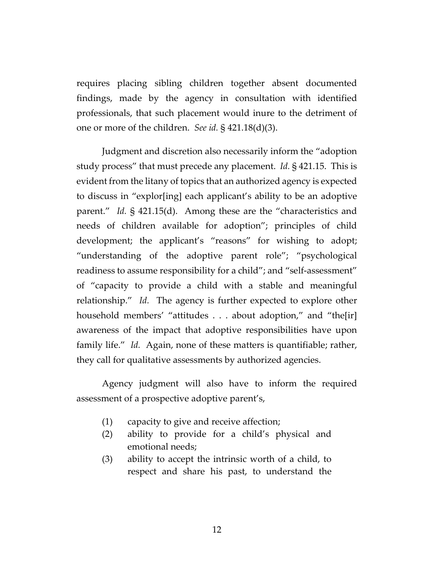requires placing sibling children together absent documented findings, made by the agency in consultation with identified professionals, that such placement would inure to the detriment of one or more of the children. *See id.* § 421.18(d)(3).

Judgment and discretion also necessarily inform the "adoption study process" that must precede any placement. *Id.* § 421.15. This is evident from the litany of topics that an authorized agency is expected to discuss in "explor[ing] each applicant's ability to be an adoptive parent." *Id.* § 421.15(d). Among these are the "characteristics and needs of children available for adoption"; principles of child development; the applicant's "reasons" for wishing to adopt; "understanding of the adoptive parent role"; "psychological readiness to assume responsibility for a child"; and "self-assessment" of "capacity to provide a child with a stable and meaningful relationship." *Id.* The agency is further expected to explore other household members' "attitudes . . . about adoption," and "the[ir] awareness of the impact that adoptive responsibilities have upon family life." *Id.* Again, none of these matters is quantifiable; rather, they call for qualitative assessments by authorized agencies.

Agency judgment will also have to inform the required assessment of a prospective adoptive parent's,

- (1) capacity to give and receive affection;
- (2) ability to provide for a child's physical and emotional needs;
- (3) ability to accept the intrinsic worth of a child, to respect and share his past, to understand the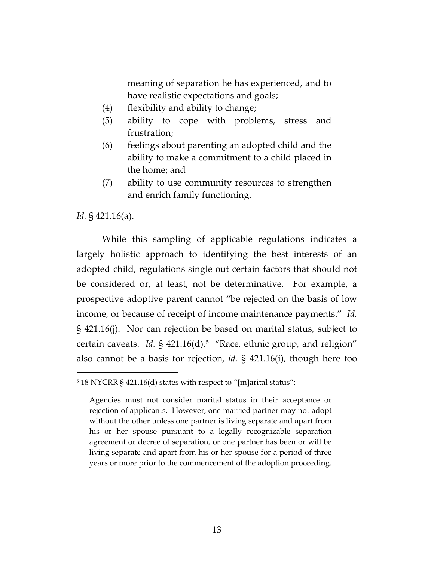meaning of separation he has experienced, and to have realistic expectations and goals;

- (4) flexibility and ability to change;
- (5) ability to cope with problems, stress and frustration;
- (6) feelings about parenting an adopted child and the ability to make a commitment to a child placed in the home; and
- (7) ability to use community resources to strengthen and enrich family functioning.

*Id.* § 421.16(a).

 $\overline{a}$ 

While this sampling of applicable regulations indicates a largely holistic approach to identifying the best interests of an adopted child, regulations single out certain factors that should not be considered or, at least, not be determinative. For example, a prospective adoptive parent cannot "be rejected on the basis of low income, or because of receipt of income maintenance payments." *Id.* § 421.16(j). Nor can rejection be based on marital status, subject to certain caveats. *Id.* § 421.16(d).<sup>5</sup> "Race, ethnic group, and religion" also cannot be a basis for rejection, *id.* § 421.16(i), though here too

<span id="page-12-0"></span><sup>5</sup> 18 NYCRR § 421.16(d) states with respect to "[m]arital status":

Agencies must not consider marital status in their acceptance or rejection of applicants. However, one married partner may not adopt without the other unless one partner is living separate and apart from his or her spouse pursuant to a legally recognizable separation agreement or decree of separation, or one partner has been or will be living separate and apart from his or her spouse for a period of three years or more prior to the commencement of the adoption proceeding.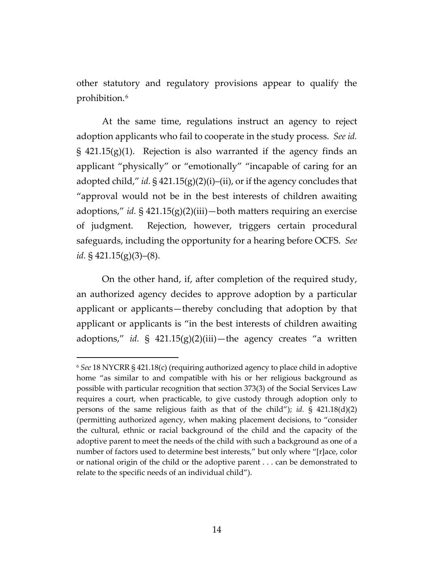other statutory and regulatory provisions appear to qualify the prohibition.[6](#page-13-0) 

At the same time, regulations instruct an agency to reject adoption applicants who fail to cooperate in the study process. *See id.*  $\S$  421.15(g)(1). Rejection is also warranted if the agency finds an applicant "physically" or "emotionally" "incapable of caring for an adopted child," *id.* § 421.15(g)(2)(i)–(ii), or if the agency concludes that "approval would not be in the best interests of children awaiting adoptions," *id.* § 421.15(g)(2)(iii)—both matters requiring an exercise of judgment. Rejection, however, triggers certain procedural safeguards, including the opportunity for a hearing before OCFS. *See id.* § 421.15(g)(3)–(8).

On the other hand, if, after completion of the required study, an authorized agency decides to approve adoption by a particular applicant or applicants—thereby concluding that adoption by that applicant or applicants is "in the best interests of children awaiting adoptions," *id.* § 421.15(g)(2)(iii)—the agency creates "a written

<span id="page-13-0"></span><sup>6</sup> *See* 18 NYCRR § 421.18(c) (requiring authorized agency to place child in adoptive home "as similar to and compatible with his or her religious background as possible with particular recognition that section 373(3) of the Social Services Law requires a court, when practicable, to give custody through adoption only to persons of the same religious faith as that of the child"); *id.* § 421.18(d)(2) (permitting authorized agency, when making placement decisions, to "consider the cultural, ethnic or racial background of the child and the capacity of the adoptive parent to meet the needs of the child with such a background as one of a number of factors used to determine best interests," but only where "[r]ace, color or national origin of the child or the adoptive parent . . . can be demonstrated to relate to the specific needs of an individual child").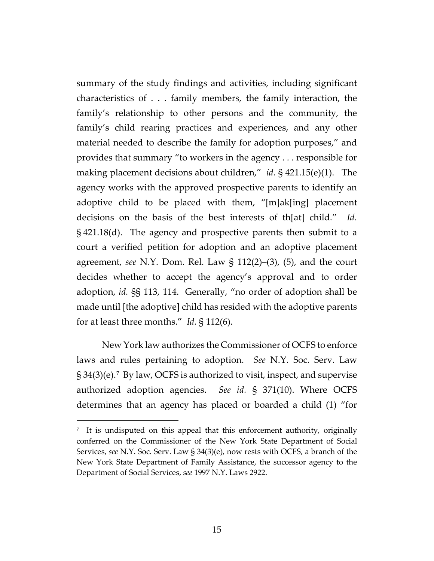summary of the study findings and activities, including significant characteristics of . . . family members, the family interaction, the family's relationship to other persons and the community, the family's child rearing practices and experiences, and any other material needed to describe the family for adoption purposes," and provides that summary "to workers in the agency . . . responsible for making placement decisions about children," *id.* § 421.15(e)(1). The agency works with the approved prospective parents to identify an adoptive child to be placed with them, "[m]ak[ing] placement decisions on the basis of the best interests of th[at] child." *Id.* § 421.18(d). The agency and prospective parents then submit to a court a verified petition for adoption and an adoptive placement agreement, *see* N.Y. Dom. Rel. Law § 112(2)–(3), (5), and the court decides whether to accept the agency's approval and to order adoption, *id.* §§ 113, 114. Generally, "no order of adoption shall be made until [the adoptive] child has resided with the adoptive parents for at least three months." *Id.* § 112(6).

New York law authorizes the Commissioner of OCFS to enforce laws and rules pertaining to adoption. *See* N.Y. Soc. Serv. Law  $\S 34(3)(e)$ .<sup>[7](#page-14-0)</sup> By law, OCFS is authorized to visit, inspect, and supervise authorized adoption agencies. *See id.* § 371(10). Where OCFS determines that an agency has placed or boarded a child (1) "for

<span id="page-14-0"></span><sup>&</sup>lt;sup>7</sup> It is undisputed on this appeal that this enforcement authority, originally conferred on the Commissioner of the New York State Department of Social Services, *see* N.Y. Soc. Serv. Law § 34(3)(e), now rests with OCFS, a branch of the New York State Department of Family Assistance, the successor agency to the Department of Social Services, *see* 1997 N.Y. Laws 2922.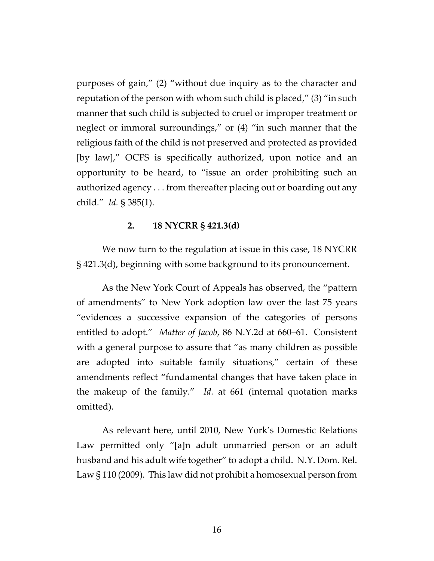purposes of gain," (2) "without due inquiry as to the character and reputation of the person with whom such child is placed," (3) "in such manner that such child is subjected to cruel or improper treatment or neglect or immoral surroundings," or (4) "in such manner that the religious faith of the child is not preserved and protected as provided [by law]," OCFS is specifically authorized, upon notice and an opportunity to be heard, to "issue an order prohibiting such an authorized agency . . . from thereafter placing out or boarding out any child." *Id.* § 385(1).

# **2. 18 NYCRR § 421.3(d)**

We now turn to the regulation at issue in this case, 18 NYCRR § 421.3(d), beginning with some background to its pronouncement.

As the New York Court of Appeals has observed, the "pattern of amendments" to New York adoption law over the last 75 years "evidences a successive expansion of the categories of persons entitled to adopt." *Matter of Jacob*, 86 N.Y.2d at 660–61. Consistent with a general purpose to assure that "as many children as possible are adopted into suitable family situations," certain of these amendments reflect "fundamental changes that have taken place in the makeup of the family." *Id.* at 661 (internal quotation marks omitted).

As relevant here, until 2010, New York's Domestic Relations Law permitted only "[a]n adult unmarried person or an adult husband and his adult wife together" to adopt a child. N.Y. Dom. Rel. Law § 110 (2009). This law did not prohibit a homosexual person from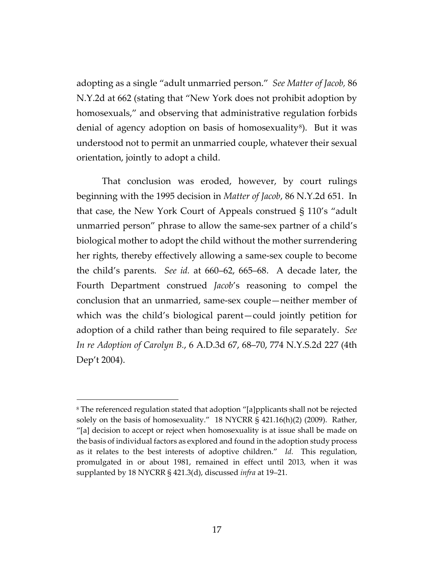adopting as a single "adult unmarried person." *See Matter of Jacob,* 86 N.Y.2d at 662 (stating that "New York does not prohibit adoption by homosexuals," and observing that administrative regulation forbids denial of agency adoption on basis of homosexuality<sup>[8](#page-16-0)</sup>). But it was understood not to permit an unmarried couple, whatever their sexual orientation, jointly to adopt a child.

That conclusion was eroded, however, by court rulings beginning with the 1995 decision in *Matter of Jacob*, 86 N.Y.2d 651. In that case, the New York Court of Appeals construed § 110's "adult unmarried person" phrase to allow the same-sex partner of a child's biological mother to adopt the child without the mother surrendering her rights, thereby effectively allowing a same-sex couple to become the child's parents. *See id.* at 660–62, 665–68. A decade later, the Fourth Department construed *Jacob*'s reasoning to compel the conclusion that an unmarried, same-sex couple—neither member of which was the child's biological parent—could jointly petition for adoption of a child rather than being required to file separately. *See In re Adoption of Carolyn B.*, 6 A.D.3d 67, 68–70, 774 N.Y.S.2d 227 (4th Dep't 2004).

<span id="page-16-0"></span><sup>8</sup> The referenced regulation stated that adoption "[a]pplicants shall not be rejected solely on the basis of homosexuality." 18 NYCRR § 421.16(h)(2) (2009). Rather, "[a] decision to accept or reject when homosexuality is at issue shall be made on the basis of individual factors as explored and found in the adoption study process as it relates to the best interests of adoptive children." *Id.* This regulation, promulgated in or about 1981, remained in effect until 2013, when it was supplanted by 18 NYCRR § 421.3(d), discussed *infra* at 19–21.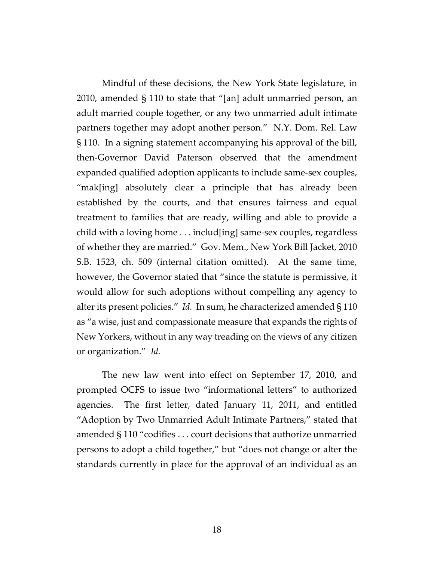Mindful of these decisions, the New York State legislature, in 2010, amended § 110 to state that "[an] adult unmarried person, an adult married couple together, or any two unmarried adult intimate partners together may adopt another person." N.Y. Dom. Rel. Law § 110. In a signing statement accompanying his approval of the bill, then-Governor David Paterson observed that the amendment expanded qualified adoption applicants to include same-sex couples, "mak[ing] absolutely clear a principle that has already been established by the courts, and that ensures fairness and equal treatment to families that are ready, willing and able to provide a child with a loving home . . . includ[ing] same-sex couples, regardless of whether they are married." Gov. Mem., New York Bill Jacket, 2010 S.B. 1523, ch. 509 (internal citation omitted). At the same time, however, the Governor stated that "since the statute is permissive, it would allow for such adoptions without compelling any agency to alter its present policies." *Id.* In sum, he characterized amended § 110 as "a wise, just and compassionate measure that expands the rights of New Yorkers, without in any way treading on the views of any citizen or organization." *Id.*

The new law went into effect on September 17, 2010, and prompted OCFS to issue two "informational letters" to authorized agencies. The first letter, dated January 11, 2011, and entitled "Adoption by Two Unmarried Adult Intimate Partners," stated that amended § 110 "codifies . . . court decisions that authorize unmarried persons to adopt a child together," but "does not change or alter the standards currently in place for the approval of an individual as an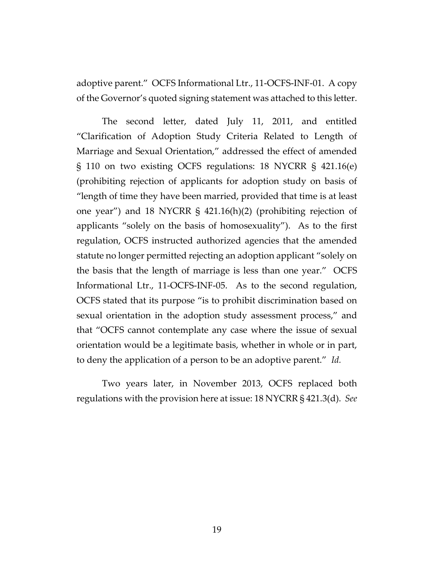adoptive parent." OCFS Informational Ltr., 11-OCFS-INF-01. A copy of the Governor's quoted signing statement was attached to this letter.

The second letter, dated July 11, 2011, and entitled "Clarification of Adoption Study Criteria Related to Length of Marriage and Sexual Orientation," addressed the effect of amended § 110 on two existing OCFS regulations: 18 NYCRR § 421.16(e) (prohibiting rejection of applicants for adoption study on basis of "length of time they have been married, provided that time is at least one year") and 18 NYCRR § 421.16(h)(2) (prohibiting rejection of applicants "solely on the basis of homosexuality"). As to the first regulation, OCFS instructed authorized agencies that the amended statute no longer permitted rejecting an adoption applicant "solely on the basis that the length of marriage is less than one year." OCFS Informational Ltr., 11-OCFS-INF-05. As to the second regulation, OCFS stated that its purpose "is to prohibit discrimination based on sexual orientation in the adoption study assessment process," and that "OCFS cannot contemplate any case where the issue of sexual orientation would be a legitimate basis, whether in whole or in part, to deny the application of a person to be an adoptive parent." *Id.*

Two years later, in November 2013, OCFS replaced both regulations with the provision here at issue: 18 NYCRR § 421.3(d). *See*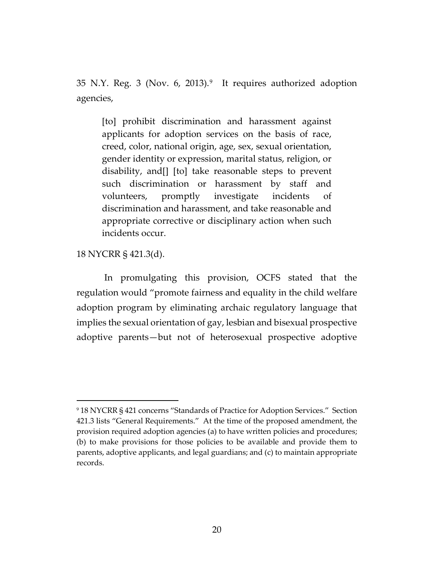35 N.Y. Reg. 3 (Nov. 6, 2013).[9](#page-19-0) It requires authorized adoption agencies,

[to] prohibit discrimination and harassment against applicants for adoption services on the basis of race, creed, color, national origin, age, sex, sexual orientation, gender identity or expression, marital status, religion, or disability, and[] [to] take reasonable steps to prevent such discrimination or harassment by staff and volunteers, promptly investigate incidents of discrimination and harassment, and take reasonable and appropriate corrective or disciplinary action when such incidents occur.

# 18 NYCRR § 421.3(d).

 $\overline{a}$ 

In promulgating this provision, OCFS stated that the regulation would "promote fairness and equality in the child welfare adoption program by eliminating archaic regulatory language that implies the sexual orientation of gay, lesbian and bisexual prospective adoptive parents—but not of heterosexual prospective adoptive

<span id="page-19-0"></span><sup>9</sup> 18 NYCRR § 421 concerns "Standards of Practice for Adoption Services." Section 421.3 lists "General Requirements." At the time of the proposed amendment, the provision required adoption agencies (a) to have written policies and procedures; (b) to make provisions for those policies to be available and provide them to parents, adoptive applicants, and legal guardians; and (c) to maintain appropriate records.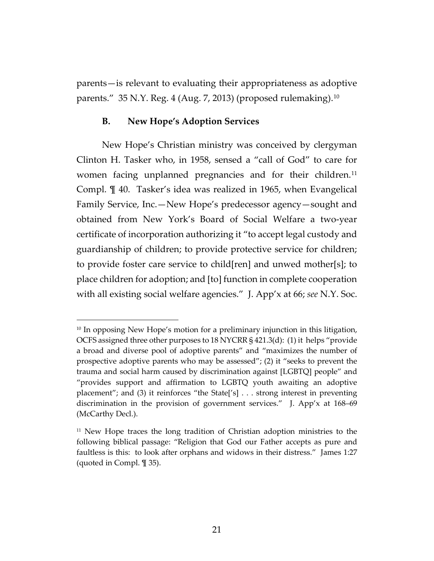parents—is relevant to evaluating their appropriateness as adoptive parents." 35 N.Y. Reg. 4 (Aug. 7, 2013) (proposed rulemaking).[10](#page-20-0) 

# **B. New Hope's Adoption Services**

 $\overline{a}$ 

New Hope's Christian ministry was conceived by clergyman Clinton H. Tasker who, in 1958, sensed a "call of God" to care for women facing unplanned pregnancies and for their children.<sup>[11](#page-20-1)</sup> Compl. ¶ 40. Tasker's idea was realized in 1965, when Evangelical Family Service, Inc.—New Hope's predecessor agency—sought and obtained from New York's Board of Social Welfare a two-year certificate of incorporation authorizing it "to accept legal custody and guardianship of children; to provide protective service for children; to provide foster care service to child[ren] and unwed mother[s]; to place children for adoption; and [to] function in complete cooperation with all existing social welfare agencies." J. App'x at 66; *see* N.Y. Soc.

<span id="page-20-0"></span> $10$  In opposing New Hope's motion for a preliminary injunction in this litigation, OCFS assigned three other purposes to 18 NYCRR § 421.3(d): (1) it helps "provide a broad and diverse pool of adoptive parents" and "maximizes the number of prospective adoptive parents who may be assessed"; (2) it "seeks to prevent the trauma and social harm caused by discrimination against [LGBTQ] people" and "provides support and affirmation to LGBTQ youth awaiting an adoptive placement"; and (3) it reinforces "the State['s] . . . strong interest in preventing discrimination in the provision of government services." J. App'x at 168–69 (McCarthy Decl.).

<span id="page-20-1"></span><sup>&</sup>lt;sup>11</sup> New Hope traces the long tradition of Christian adoption ministries to the following biblical passage: "Religion that God our Father accepts as pure and faultless is this: to look after orphans and widows in their distress." James 1:27 (quoted in Compl. ¶ 35).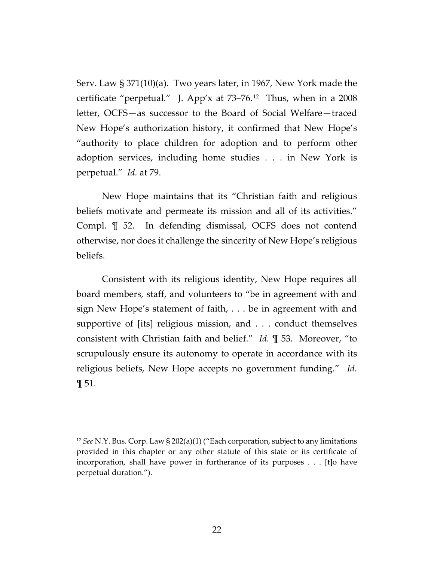Serv. Law § 371(10)(a). Two years later, in 1967, New York made the certificate "perpetual." J. App'x at 73–76.[12](#page-21-0) Thus, when in a 2008 letter, OCFS—as successor to the Board of Social Welfare—traced New Hope's authorization history, it confirmed that New Hope's "authority to place children for adoption and to perform other adoption services, including home studies . . . in New York is perpetual." *Id.* at 79.

New Hope maintains that its "Christian faith and religious beliefs motivate and permeate its mission and all of its activities." Compl. ¶ 52. In defending dismissal, OCFS does not contend otherwise, nor does it challenge the sincerity of New Hope's religious beliefs.

Consistent with its religious identity, New Hope requires all board members, staff, and volunteers to "be in agreement with and sign New Hope's statement of faith, . . . be in agreement with and supportive of [its] religious mission, and . . . conduct themselves consistent with Christian faith and belief." *Id.* ¶ 53. Moreover, "to scrupulously ensure its autonomy to operate in accordance with its religious beliefs, New Hope accepts no government funding." *Id.* ¶ 51.

<span id="page-21-0"></span><sup>12</sup> *See* N.Y. Bus. Corp. Law § 202(a)(1) ("Each corporation, subject to any limitations provided in this chapter or any other statute of this state or its certificate of incorporation, shall have power in furtherance of its purposes . . . [t]o have perpetual duration.").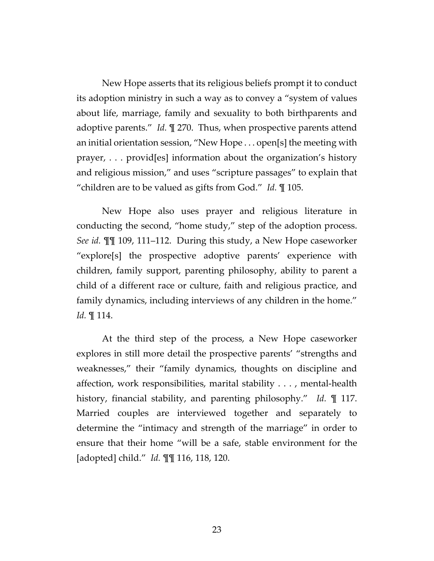New Hope asserts that its religious beliefs prompt it to conduct its adoption ministry in such a way as to convey a "system of values about life, marriage, family and sexuality to both birthparents and adoptive parents." *Id.* ¶ 270. Thus, when prospective parents attend an initial orientation session, "New Hope . . . open[s] the meeting with prayer, . . . provid[es] information about the organization's history and religious mission," and uses "scripture passages" to explain that "children are to be valued as gifts from God." *Id.* ¶ 105.

New Hope also uses prayer and religious literature in conducting the second, "home study," step of the adoption process. *See id.* ¶¶ 109, 111–112. During this study, a New Hope caseworker "explore[s] the prospective adoptive parents' experience with children, family support, parenting philosophy, ability to parent a child of a different race or culture, faith and religious practice, and family dynamics, including interviews of any children in the home." *Id.* ¶ 114.

At the third step of the process, a New Hope caseworker explores in still more detail the prospective parents' "strengths and weaknesses," their "family dynamics, thoughts on discipline and affection, work responsibilities, marital stability . . . , mental-health history, financial stability, and parenting philosophy." *Id.* ¶ 117. Married couples are interviewed together and separately to determine the "intimacy and strength of the marriage" in order to ensure that their home "will be a safe, stable environment for the [adopted] child." *Id.* ¶¶ 116, 118, 120.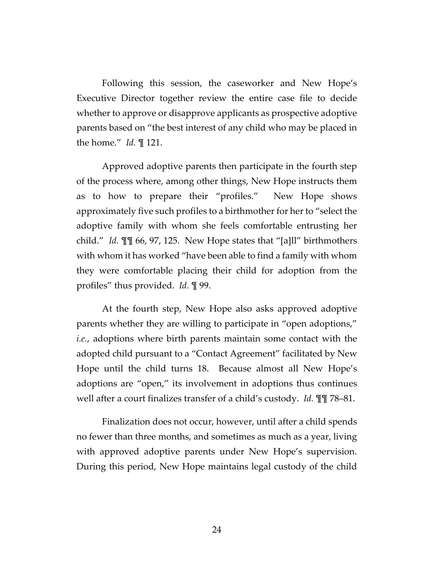Following this session, the caseworker and New Hope's Executive Director together review the entire case file to decide whether to approve or disapprove applicants as prospective adoptive parents based on "the best interest of any child who may be placed in the home." *Id.* ¶ 121.

Approved adoptive parents then participate in the fourth step of the process where, among other things, New Hope instructs them as to how to prepare their "profiles." New Hope shows approximately five such profiles to a birthmother for her to "select the adoptive family with whom she feels comfortable entrusting her child." *Id.* ¶¶ 66, 97, 125. New Hope states that "[a]ll" birthmothers with whom it has worked "have been able to find a family with whom they were comfortable placing their child for adoption from the profiles" thus provided. *Id.* ¶ 99.

At the fourth step, New Hope also asks approved adoptive parents whether they are willing to participate in "open adoptions," *i.e.*, adoptions where birth parents maintain some contact with the adopted child pursuant to a "Contact Agreement" facilitated by New Hope until the child turns 18. Because almost all New Hope's adoptions are "open," its involvement in adoptions thus continues well after a court finalizes transfer of a child's custody. *Id.* ¶¶ 78–81.

Finalization does not occur, however, until after a child spends no fewer than three months, and sometimes as much as a year, living with approved adoptive parents under New Hope's supervision. During this period, New Hope maintains legal custody of the child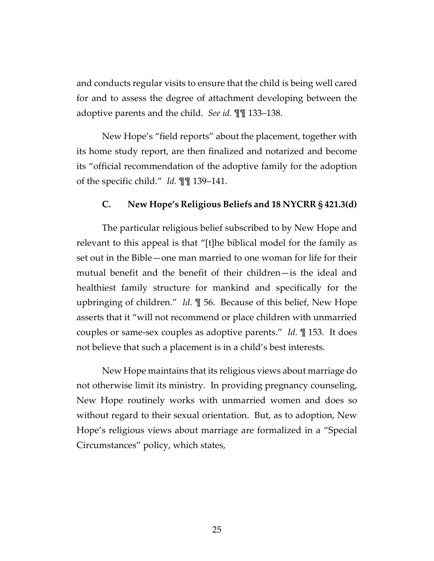and conducts regular visits to ensure that the child is being well cared for and to assess the degree of attachment developing between the adoptive parents and the child. *See id.* ¶¶ 133–138.

New Hope's "field reports" about the placement, together with its home study report, are then finalized and notarized and become its "official recommendation of the adoptive family for the adoption of the specific child." *Id.* ¶¶ 139–141.

# **C. New Hope's Religious Beliefs and 18 NYCRR § 421.3(d)**

The particular religious belief subscribed to by New Hope and relevant to this appeal is that "[t]he biblical model for the family as set out in the Bible—one man married to one woman for life for their mutual benefit and the benefit of their children—is the ideal and healthiest family structure for mankind and specifically for the upbringing of children." *Id.* ¶ 56. Because of this belief, New Hope asserts that it "will not recommend or place children with unmarried couples or same-sex couples as adoptive parents." *Id.* ¶ 153. It does not believe that such a placement is in a child's best interests.

New Hope maintains that its religious views about marriage do not otherwise limit its ministry. In providing pregnancy counseling, New Hope routinely works with unmarried women and does so without regard to their sexual orientation. But, as to adoption, New Hope's religious views about marriage are formalized in a "Special Circumstances" policy, which states,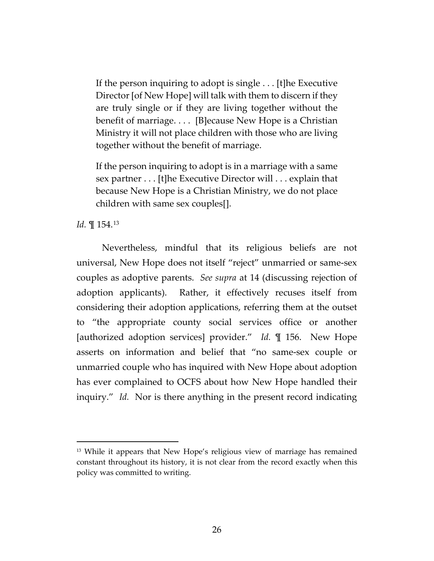If the person inquiring to adopt is single . . . [t]he Executive Director [of New Hope] will talk with them to discern if they are truly single or if they are living together without the benefit of marriage. . . . [B]ecause New Hope is a Christian Ministry it will not place children with those who are living together without the benefit of marriage.

If the person inquiring to adopt is in a marriage with a same sex partner . . . [t]he Executive Director will . . . explain that because New Hope is a Christian Ministry, we do not place children with same sex couples[].

*Id.* ¶ 154.[13](#page-25-0)

 $\overline{a}$ 

Nevertheless, mindful that its religious beliefs are not universal, New Hope does not itself "reject" unmarried or same-sex couples as adoptive parents. *See supra* at 14 (discussing rejection of adoption applicants). Rather, it effectively recuses itself from considering their adoption applications, referring them at the outset to "the appropriate county social services office or another [authorized adoption services] provider." *Id.* ¶ 156. New Hope asserts on information and belief that "no same-sex couple or unmarried couple who has inquired with New Hope about adoption has ever complained to OCFS about how New Hope handled their inquiry." *Id.* Nor is there anything in the present record indicating

<span id="page-25-0"></span><sup>13</sup> While it appears that New Hope's religious view of marriage has remained constant throughout its history, it is not clear from the record exactly when this policy was committed to writing.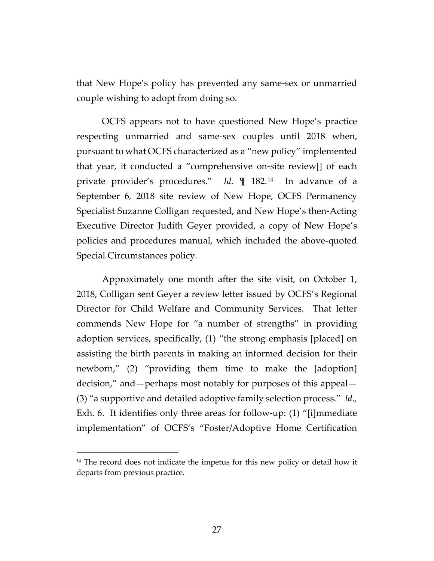that New Hope's policy has prevented any same-sex or unmarried couple wishing to adopt from doing so.

OCFS appears not to have questioned New Hope's practice respecting unmarried and same-sex couples until 2018 when, pursuant to what OCFS characterized as a "new policy" implemented that year, it conducted a "comprehensive on-site review[] of each private provider's procedures." *Id.* ¶ 182.[14](#page-26-0) In advance of a September 6, 2018 site review of New Hope, OCFS Permanency Specialist Suzanne Colligan requested, and New Hope's then-Acting Executive Director Judith Geyer provided, a copy of New Hope's policies and procedures manual, which included the above-quoted Special Circumstances policy.

Approximately one month after the site visit, on October 1, 2018, Colligan sent Geyer a review letter issued by OCFS's Regional Director for Child Welfare and Community Services. That letter commends New Hope for "a number of strengths" in providing adoption services, specifically, (1) "the strong emphasis [placed] on assisting the birth parents in making an informed decision for their newborn," (2) "providing them time to make the [adoption] decision," and—perhaps most notably for purposes of this appeal— (3) "a supportive and detailed adoptive family selection process." *Id.,*  Exh. 6. It identifies only three areas for follow-up: (1) "[i]mmediate implementation" of OCFS's "Foster/Adoptive Home Certification

<span id="page-26-0"></span> $14$  The record does not indicate the impetus for this new policy or detail how it departs from previous practice.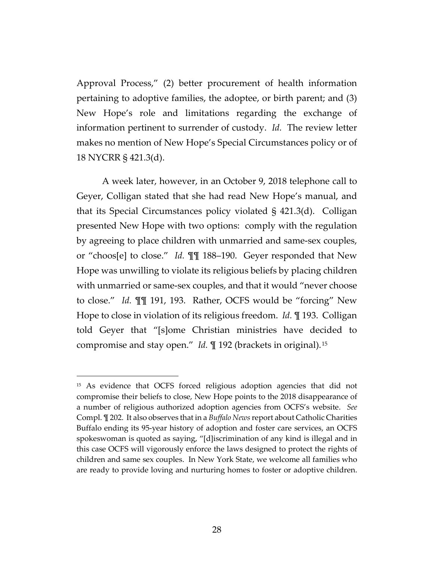Approval Process," (2) better procurement of health information pertaining to adoptive families, the adoptee, or birth parent; and (3) New Hope's role and limitations regarding the exchange of information pertinent to surrender of custody. *Id.* The review letter makes no mention of New Hope's Special Circumstances policy or of 18 NYCRR § 421.3(d).

A week later, however, in an October 9, 2018 telephone call to Geyer, Colligan stated that she had read New Hope's manual, and that its Special Circumstances policy violated § 421.3(d). Colligan presented New Hope with two options: comply with the regulation by agreeing to place children with unmarried and same-sex couples, or "choos[e] to close." *Id.* ¶¶ 188–190. Geyer responded that New Hope was unwilling to violate its religious beliefs by placing children with unmarried or same-sex couples, and that it would "never choose to close." *Id.* ¶¶ 191, 193. Rather, OCFS would be "forcing" New Hope to close in violation of its religious freedom. *Id.* ¶ 193. Colligan told Geyer that "[s]ome Christian ministries have decided to compromise and stay open." *Id.* ¶ 192 (brackets in original).[15](#page-27-0)

<span id="page-27-0"></span><sup>&</sup>lt;sup>15</sup> As evidence that OCFS forced religious adoption agencies that did not compromise their beliefs to close, New Hope points to the 2018 disappearance of a number of religious authorized adoption agencies from OCFS's website. *See*  Compl. ¶ 202. It also observes that in a *Buffalo News*report about Catholic Charities Buffalo ending its 95-year history of adoption and foster care services, an OCFS spokeswoman is quoted as saying, "[d]iscrimination of any kind is illegal and in this case OCFS will vigorously enforce the laws designed to protect the rights of children and same sex couples. In New York State, we welcome all families who are ready to provide loving and nurturing homes to foster or adoptive children.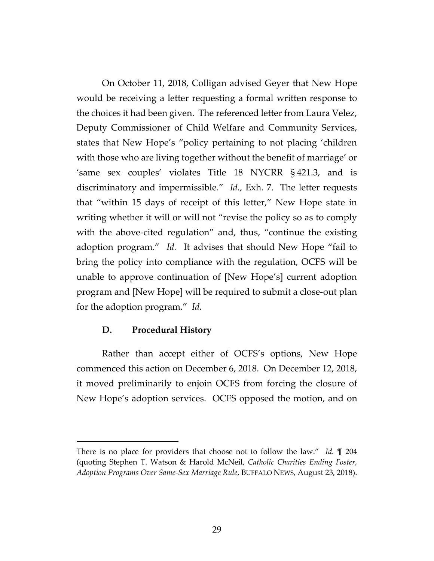On October 11, 2018, Colligan advised Geyer that New Hope would be receiving a letter requesting a formal written response to the choices it had been given. The referenced letter from Laura Velez, Deputy Commissioner of Child Welfare and Community Services, states that New Hope's "policy pertaining to not placing 'children with those who are living together without the benefit of marriage' or 'same sex couples' violates Title 18 NYCRR § 421.3, and is discriminatory and impermissible." *Id.,* Exh. 7. The letter requests that "within 15 days of receipt of this letter," New Hope state in writing whether it will or will not "revise the policy so as to comply with the above-cited regulation" and, thus, "continue the existing adoption program." *Id.* It advises that should New Hope "fail to bring the policy into compliance with the regulation, OCFS will be unable to approve continuation of [New Hope's] current adoption program and [New Hope] will be required to submit a close-out plan for the adoption program." *Id.* 

# **D. Procedural History**

 $\overline{a}$ 

Rather than accept either of OCFS's options, New Hope commenced this action on December 6, 2018. On December 12, 2018, it moved preliminarily to enjoin OCFS from forcing the closure of New Hope's adoption services. OCFS opposed the motion, and on

There is no place for providers that choose not to follow the law." *Id.* ¶ 204 (quoting Stephen T. Watson & Harold McNeil, *Catholic Charities Ending Foster, Adoption Programs Over Same-Sex Marriage Rule*, BUFFALO NEWS, August 23, 2018).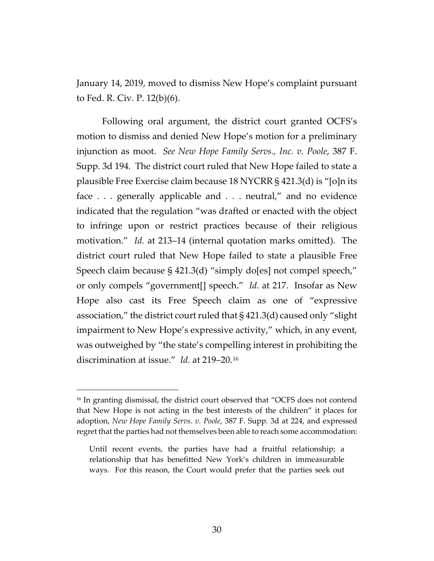January 14, 2019, moved to dismiss New Hope's complaint pursuant to Fed. R. Civ. P. 12(b)(6).

Following oral argument, the district court granted OCFS's motion to dismiss and denied New Hope's motion for a preliminary injunction as moot. *See New Hope Family Servs., Inc. v. Poole*, 387 F. Supp. 3d 194*.* The district court ruled that New Hope failed to state a plausible Free Exercise claim because 18 NYCRR § 421.3(d) is "[o]n its face . . . generally applicable and . . . neutral," and no evidence indicated that the regulation "was drafted or enacted with the object to infringe upon or restrict practices because of their religious motivation." *Id.* at 213–14 (internal quotation marks omitted). The district court ruled that New Hope failed to state a plausible Free Speech claim because § 421.3(d) "simply do[es] not compel speech," or only compels "government[] speech." *Id.* at 217. Insofar as New Hope also cast its Free Speech claim as one of "expressive association," the district court ruled that § 421.3(d) caused only "slight impairment to New Hope's expressive activity," which, in any event, was outweighed by "the state's compelling interest in prohibiting the discrimination at issue." *Id.* at 219–20.[16](#page-29-0) 

<span id="page-29-0"></span><sup>&</sup>lt;sup>16</sup> In granting dismissal, the district court observed that "OCFS does not contend that New Hope is not acting in the best interests of the children" it places for adoption, *New Hope Family Servs. v. Poole*, 387 F. Supp. 3d at 224, and expressed regret that the parties had not themselves been able to reach some accommodation:

Until recent events, the parties have had a fruitful relationship; a relationship that has benefitted New York's children in immeasurable ways. For this reason, the Court would prefer that the parties seek out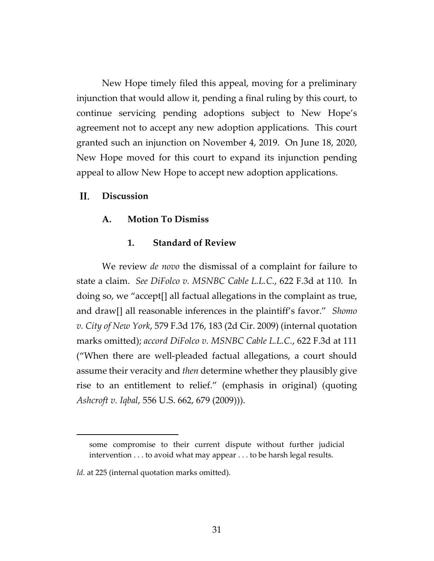New Hope timely filed this appeal, moving for a preliminary injunction that would allow it, pending a final ruling by this court, to continue servicing pending adoptions subject to New Hope's agreement not to accept any new adoption applications. This court granted such an injunction on November 4, 2019. On June 18, 2020, New Hope moved for this court to expand its injunction pending appeal to allow New Hope to accept new adoption applications.

#### II. **Discussion**

# **A. Motion To Dismiss**

# **1. Standard of Review**

We review *de novo* the dismissal of a complaint for failure to state a claim. *See DiFolco v. MSNBC Cable L.L.C.*, 622 F.3d at 110. In doing so, we "accept[] all factual allegations in the complaint as true, and draw[] all reasonable inferences in the plaintiff's favor." *Shomo v. City of New York*, 579 F.3d 176, 183 (2d Cir. 2009) (internal quotation marks omitted); *accord DiFolco v. MSNBC Cable L.L.C.*, 622 F.3d at 111 ("When there are well-pleaded factual allegations, a court should assume their veracity and *then* determine whether they plausibly give rise to an entitlement to relief." (emphasis in original) (quoting *Ashcroft v. Iqbal*, 556 U.S. 662, 679 (2009))).

some compromise to their current dispute without further judicial intervention . . . to avoid what may appear . . . to be harsh legal results.

Id. at 225 (internal quotation marks omitted).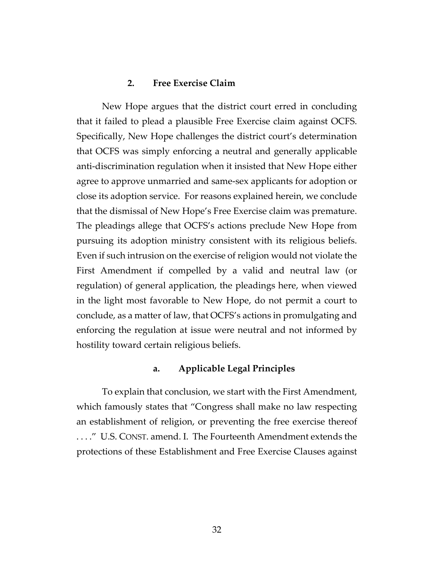# **2. Free Exercise Claim**

New Hope argues that the district court erred in concluding that it failed to plead a plausible Free Exercise claim against OCFS. Specifically, New Hope challenges the district court's determination that OCFS was simply enforcing a neutral and generally applicable anti-discrimination regulation when it insisted that New Hope either agree to approve unmarried and same-sex applicants for adoption or close its adoption service. For reasons explained herein, we conclude that the dismissal of New Hope's Free Exercise claim was premature. The pleadings allege that OCFS's actions preclude New Hope from pursuing its adoption ministry consistent with its religious beliefs. Even if such intrusion on the exercise of religion would not violate the First Amendment if compelled by a valid and neutral law (or regulation) of general application, the pleadings here, when viewed in the light most favorable to New Hope, do not permit a court to conclude, as a matter of law, that OCFS's actions in promulgating and enforcing the regulation at issue were neutral and not informed by hostility toward certain religious beliefs.

### **a. Applicable Legal Principles**

To explain that conclusion, we start with the First Amendment, which famously states that "Congress shall make no law respecting an establishment of religion, or preventing the free exercise thereof . . . ." U.S. CONST. amend. I. The Fourteenth Amendment extends the protections of these Establishment and Free Exercise Clauses against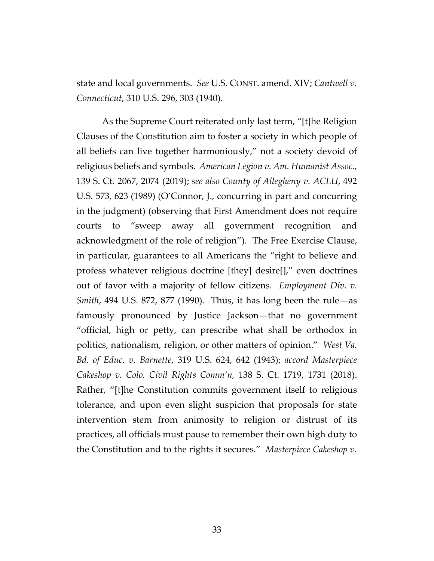state and local governments. *See* U.S. CONST. amend. XIV; *Cantwell v. Connecticut*, 310 U.S. 296, 303 (1940).

As the Supreme Court reiterated only last term, "[t]he Religion Clauses of the Constitution aim to foster a society in which people of all beliefs can live together harmoniously," not a society devoid of religious beliefs and symbols. *American Legion v. Am. Humanist Assoc.*, 139 S. Ct. 2067, 2074 (2019); *see also County of Allegheny v. ACLU*, 492 U.S. 573, 623 (1989) (O'Connor, J., concurring in part and concurring in the judgment) (observing that First Amendment does not require courts to "sweep away all government recognition and acknowledgment of the role of religion"). The Free Exercise Clause, in particular, guarantees to all Americans the "right to believe and profess whatever religious doctrine [they] desire[]," even doctrines out of favor with a majority of fellow citizens. *Employment Div. v. Smith*, 494 U.S. 872, 877 (1990). Thus, it has long been the rule—as famously pronounced by Justice Jackson—that no government "official, high or petty, can prescribe what shall be orthodox in politics, nationalism, religion, or other matters of opinion." *West Va. Bd. of Educ. v. Barnette*, 319 U.S. 624, 642 (1943); *accord Masterpiece Cakeshop v. Colo. Civil Rights Comm'n,* 138 S. Ct. 1719, 1731 (2018). Rather, "[t]he Constitution commits government itself to religious tolerance, and upon even slight suspicion that proposals for state intervention stem from animosity to religion or distrust of its practices, all officials must pause to remember their own high duty to the Constitution and to the rights it secures." *Masterpiece Cakeshop v.*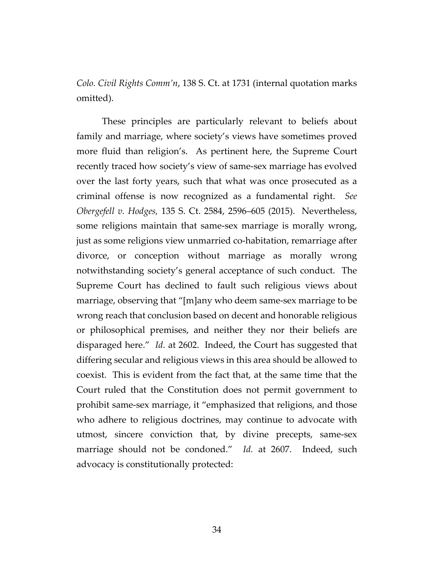*Colo. Civil Rights Comm'n*, 138 S. Ct. at 1731 (internal quotation marks omitted).

These principles are particularly relevant to beliefs about family and marriage, where society's views have sometimes proved more fluid than religion's. As pertinent here, the Supreme Court recently traced how society's view of same-sex marriage has evolved over the last forty years, such that what was once prosecuted as a criminal offense is now recognized as a fundamental right. *See Obergefell v. Hodges,* 135 S. Ct. 2584, 2596–605 (2015). Nevertheless, some religions maintain that same-sex marriage is morally wrong, just as some religions view unmarried co-habitation, remarriage after divorce, or conception without marriage as morally wrong notwithstanding society's general acceptance of such conduct. The Supreme Court has declined to fault such religious views about marriage, observing that "[m]any who deem same-sex marriage to be wrong reach that conclusion based on decent and honorable religious or philosophical premises, and neither they nor their beliefs are disparaged here." *Id.* at 2602. Indeed, the Court has suggested that differing secular and religious views in this area should be allowed to coexist. This is evident from the fact that, at the same time that the Court ruled that the Constitution does not permit government to prohibit same-sex marriage, it "emphasized that religions, and those who adhere to religious doctrines, may continue to advocate with utmost, sincere conviction that, by divine precepts, same-sex marriage should not be condoned." *Id.* at 2607. Indeed, such advocacy is constitutionally protected: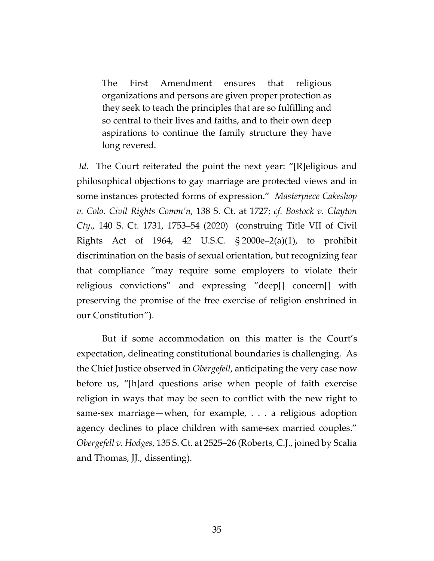The First Amendment ensures that religious organizations and persons are given proper protection as they seek to teach the principles that are so fulfilling and so central to their lives and faiths, and to their own deep aspirations to continue the family structure they have long revered.

*Id.* The Court reiterated the point the next year: "[R]eligious and philosophical objections to gay marriage are protected views and in some instances protected forms of expression." *Masterpiece Cakeshop v. Colo. Civil Rights Comm'n*, 138 S. Ct. at 1727; *cf. Bostock v. Clayton Cty*., 140 S. Ct. 1731, 1753–54 (2020) (construing Title VII of Civil Rights Act of 1964, 42 U.S.C. § 2000e–2(a)(1), to prohibit discrimination on the basis of sexual orientation, but recognizing fear that compliance "may require some employers to violate their religious convictions" and expressing "deep[] concern[] with preserving the promise of the free exercise of religion enshrined in our Constitution").

But if some accommodation on this matter is the Court's expectation, delineating constitutional boundaries is challenging. As the Chief Justice observed in *Obergefell*, anticipating the very case now before us, "[h]ard questions arise when people of faith exercise religion in ways that may be seen to conflict with the new right to same-sex marriage—when, for example, . . . a religious adoption agency declines to place children with same-sex married couples." *Obergefell v. Hodges*, 135 S. Ct. at 2525–26 (Roberts, C.J., joined by Scalia and Thomas, JJ., dissenting).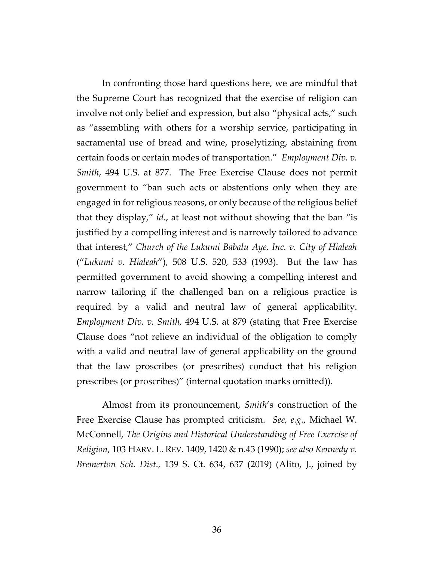In confronting those hard questions here, we are mindful that the Supreme Court has recognized that the exercise of religion can involve not only belief and expression, but also "physical acts," such as "assembling with others for a worship service, participating in sacramental use of bread and wine, proselytizing, abstaining from certain foods or certain modes of transportation." *Employment Div. v. Smith*, 494 U.S. at 877. The Free Exercise Clause does not permit government to "ban such acts or abstentions only when they are engaged in for religious reasons, or only because of the religious belief that they display," *id.*, at least not without showing that the ban "is justified by a compelling interest and is narrowly tailored to advance that interest," *Church of the Lukumi Babalu Aye, Inc. v. City of Hialeah* ("*Lukumi v. Hialeah*"), 508 U.S. 520, 533 (1993). But the law has permitted government to avoid showing a compelling interest and narrow tailoring if the challenged ban on a religious practice is required by a valid and neutral law of general applicability. *Employment Div. v. Smith,* 494 U.S. at 879 (stating that Free Exercise Clause does "not relieve an individual of the obligation to comply with a valid and neutral law of general applicability on the ground that the law proscribes (or prescribes) conduct that his religion prescribes (or proscribes)" (internal quotation marks omitted)).

Almost from its pronouncement, *Smith*'s construction of the Free Exercise Clause has prompted criticism. *See, e.g.*, Michael W. McConnell, *The Origins and Historical Understanding of Free Exercise of Religion*, 103 HARV. L. REV. 1409, 1420 & n.43 (1990); *see also Kennedy v. Bremerton Sch. Dist.,* 139 S. Ct. 634, 637 (2019) (Alito, J., joined by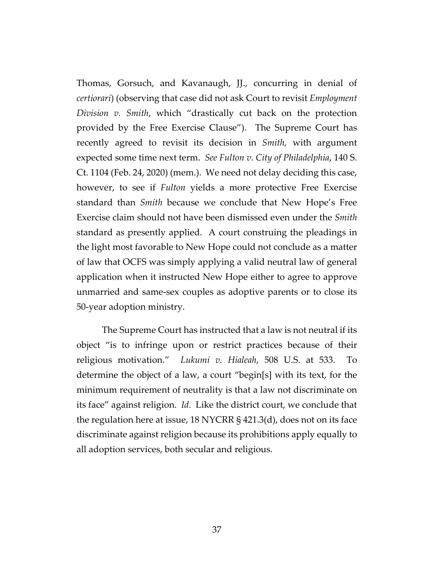Thomas, Gorsuch, and Kavanaugh, JJ., concurring in denial of *certiorari*) (observing that case did not ask Court to revisit *Employment Division v. Smith*, which "drastically cut back on the protection provided by the Free Exercise Clause"). The Supreme Court has recently agreed to revisit its decision in *Smith,* with argument expected some time next term. *See Fulton v. City of Philadelphia*, 140 S. Ct. 1104 (Feb. 24, 2020) (mem.). We need not delay deciding this case, however, to see if *Fulton* yields a more protective Free Exercise standard than *Smith* because we conclude that New Hope's Free Exercise claim should not have been dismissed even under the *Smith*  standard as presently applied. A court construing the pleadings in the light most favorable to New Hope could not conclude as a matter of law that OCFS was simply applying a valid neutral law of general application when it instructed New Hope either to agree to approve unmarried and same-sex couples as adoptive parents or to close its 50-year adoption ministry.

The Supreme Court has instructed that a law is not neutral if its object "is to infringe upon or restrict practices because of their religious motivation." *Lukumi v. Hialeah*, 508 U.S. at 533. To determine the object of a law, a court "begin[s] with its text, for the minimum requirement of neutrality is that a law not discriminate on its face" against religion. *Id.* Like the district court, we conclude that the regulation here at issue, 18 NYCRR § 421.3(d), does not on its face discriminate against religion because its prohibitions apply equally to all adoption services, both secular and religious.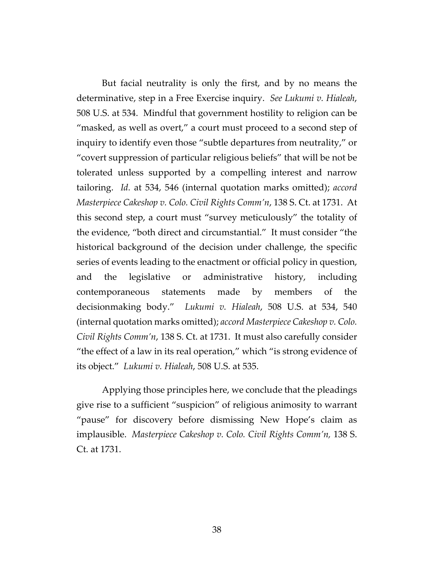But facial neutrality is only the first, and by no means the determinative, step in a Free Exercise inquiry. *See Lukumi v. Hialeah*, 508 U.S. at 534. Mindful that government hostility to religion can be "masked, as well as overt," a court must proceed to a second step of inquiry to identify even those "subtle departures from neutrality," or "covert suppression of particular religious beliefs" that will be not be tolerated unless supported by a compelling interest and narrow tailoring. *Id.* at 534, 546 (internal quotation marks omitted); *accord Masterpiece Cakeshop v. Colo. Civil Rights Comm'n*, 138 S. Ct. at 1731. At this second step, a court must "survey meticulously" the totality of the evidence, "both direct and circumstantial." It must consider "the historical background of the decision under challenge, the specific series of events leading to the enactment or official policy in question, and the legislative or administrative history, including contemporaneous statements made by members of the decisionmaking body." *Lukumi v. Hialeah*, 508 U.S. at 534, 540 (internal quotation marks omitted); *accord Masterpiece Cakeshop v. Colo. Civil Rights Comm'n*, 138 S. Ct. at 1731. It must also carefully consider "the effect of a law in its real operation," which "is strong evidence of its object." *Lukumi v. Hialeah*, 508 U.S. at 535.

Applying those principles here, we conclude that the pleadings give rise to a sufficient "suspicion" of religious animosity to warrant "pause" for discovery before dismissing New Hope's claim as implausible. *Masterpiece Cakeshop v. Colo. Civil Rights Comm'n,* 138 S. Ct. at 1731.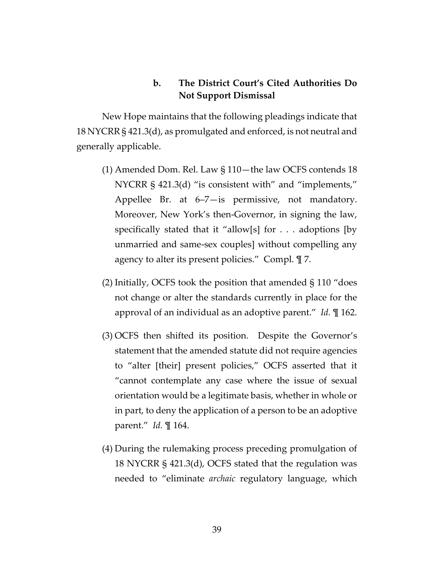# **b. The District Court's Cited Authorities Do Not Support Dismissal**

New Hope maintains that the following pleadings indicate that 18 NYCRR § 421.3(d), as promulgated and enforced, is not neutral and generally applicable.

- (1) Amended Dom. Rel. Law § 110—the law OCFS contends 18 NYCRR § 421.3(d) "is consistent with" and "implements," Appellee Br. at 6–7—is permissive, not mandatory. Moreover, New York's then-Governor, in signing the law, specifically stated that it "allow[s] for . . . adoptions [by unmarried and same-sex couples] without compelling any agency to alter its present policies." Compl. ¶ 7.
- (2) Initially, OCFS took the position that amended § 110 "does not change or alter the standards currently in place for the approval of an individual as an adoptive parent." *Id.* ¶ 162.
- (3) OCFS then shifted its position. Despite the Governor's statement that the amended statute did not require agencies to "alter [their] present policies," OCFS asserted that it "cannot contemplate any case where the issue of sexual orientation would be a legitimate basis, whether in whole or in part, to deny the application of a person to be an adoptive parent." *Id.* ¶ 164.
- (4) During the rulemaking process preceding promulgation of 18 NYCRR § 421.3(d), OCFS stated that the regulation was needed to "eliminate *archaic* regulatory language, which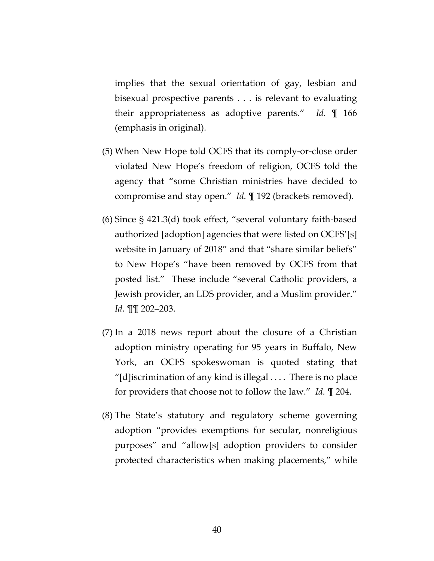implies that the sexual orientation of gay, lesbian and bisexual prospective parents . . . is relevant to evaluating their appropriateness as adoptive parents." *Id.* ¶ 166 (emphasis in original).

- (5) When New Hope told OCFS that its comply-or-close order violated New Hope's freedom of religion, OCFS told the agency that "some Christian ministries have decided to compromise and stay open." *Id.* ¶ 192 (brackets removed).
- (6) Since § 421.3(d) took effect, "several voluntary faith-based authorized [adoption] agencies that were listed on OCFS'[s] website in January of 2018" and that "share similar beliefs" to New Hope's "have been removed by OCFS from that posted list." These include "several Catholic providers, a Jewish provider, an LDS provider, and a Muslim provider." *Id.* ¶¶ 202–203.
- (7) In a 2018 news report about the closure of a Christian adoption ministry operating for 95 years in Buffalo, New York, an OCFS spokeswoman is quoted stating that "[d] iscrimination of any kind is illegal  $\dots$  There is no place for providers that choose not to follow the law." *Id.* ¶ 204.
- (8) The State's statutory and regulatory scheme governing adoption "provides exemptions for secular, nonreligious purposes" and "allow[s] adoption providers to consider protected characteristics when making placements," while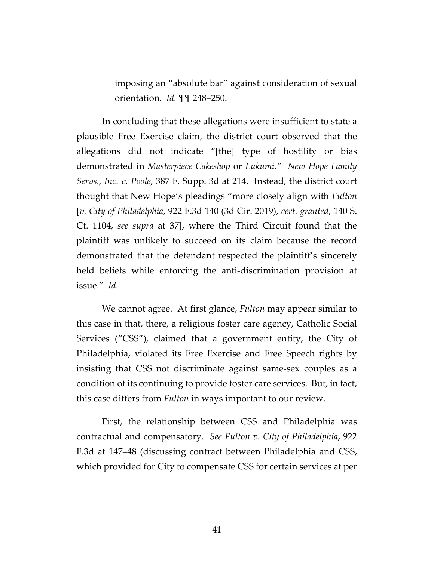imposing an "absolute bar" against consideration of sexual orientation. *Id.* ¶¶ 248–250.

In concluding that these allegations were insufficient to state a plausible Free Exercise claim, the district court observed that the allegations did not indicate "[the] type of hostility or bias demonstrated in *Masterpiece Cakeshop* or *Lukumi." New Hope Family Servs., Inc. v. Poole*, 387 F. Supp. 3d at 214. Instead, the district court thought that New Hope's pleadings "more closely align with *Fulton* [*v. City of Philadelphia*, 922 F.3d 140 (3d Cir. 2019), *cert. granted*, 140 S. Ct. 1104, *see supra* at 37], where the Third Circuit found that the plaintiff was unlikely to succeed on its claim because the record demonstrated that the defendant respected the plaintiff's sincerely held beliefs while enforcing the anti-discrimination provision at issue." *Id.*

We cannot agree. At first glance, *Fulton* may appear similar to this case in that, there, a religious foster care agency, Catholic Social Services ("CSS"), claimed that a government entity, the City of Philadelphia, violated its Free Exercise and Free Speech rights by insisting that CSS not discriminate against same-sex couples as a condition of its continuing to provide foster care services. But, in fact, this case differs from *Fulton* in ways important to our review.

First, the relationship between CSS and Philadelphia was contractual and compensatory. *See Fulton v. City of Philadelphia*, 922 F.3d at 147–48 (discussing contract between Philadelphia and CSS, which provided for City to compensate CSS for certain services at per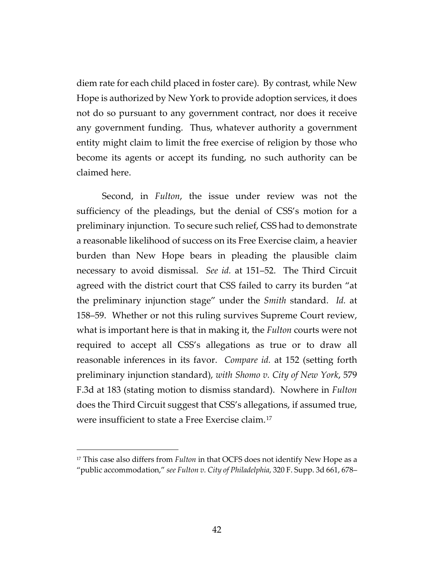diem rate for each child placed in foster care). By contrast, while New Hope is authorized by New York to provide adoption services, it does not do so pursuant to any government contract, nor does it receive any government funding. Thus, whatever authority a government entity might claim to limit the free exercise of religion by those who become its agents or accept its funding, no such authority can be claimed here.

Second, in *Fulton*, the issue under review was not the sufficiency of the pleadings, but the denial of CSS's motion for a preliminary injunction. To secure such relief, CSS had to demonstrate a reasonable likelihood of success on its Free Exercise claim, a heavier burden than New Hope bears in pleading the plausible claim necessary to avoid dismissal. *See id.* at 151–52. The Third Circuit agreed with the district court that CSS failed to carry its burden "at the preliminary injunction stage" under the *Smith* standard. *Id.* at 158–59. Whether or not this ruling survives Supreme Court review, what is important here is that in making it, the *Fulton* courts were not required to accept all CSS's allegations as true or to draw all reasonable inferences in its favor. *Compare id.* at 152 (setting forth preliminary injunction standard), *with Shomo v. City of New York*, 579 F.3d at 183 (stating motion to dismiss standard). Nowhere in *Fulton* does the Third Circuit suggest that CSS's allegations, if assumed true, were insufficient to state a Free Exercise claim.[17](#page-41-0)

<span id="page-41-0"></span><sup>17</sup> This case also differs from *Fulton* in that OCFS does not identify New Hope as a "public accommodation," *see Fulton v. City of Philadelphia*, 320 F. Supp. 3d 661, 678–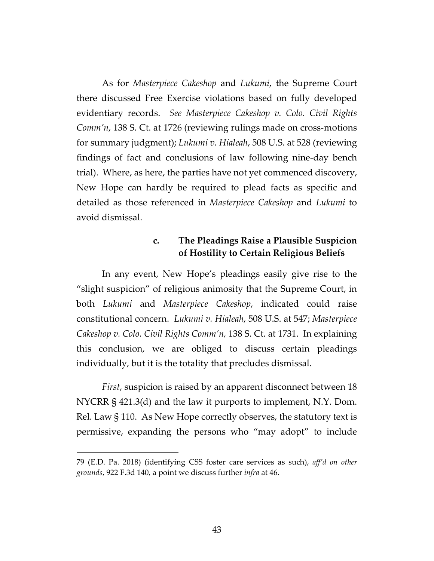As for *Masterpiece Cakeshop* and *Lukumi*, the Supreme Court there discussed Free Exercise violations based on fully developed evidentiary records. *See Masterpiece Cakeshop v. Colo. Civil Rights Comm'n*, 138 S. Ct. at 1726 (reviewing rulings made on cross-motions for summary judgment); *Lukumi v. Hialeah*, 508 U.S. at 528 (reviewing findings of fact and conclusions of law following nine-day bench trial). Where, as here, the parties have not yet commenced discovery, New Hope can hardly be required to plead facts as specific and detailed as those referenced in *Masterpiece Cakeshop* and *Lukumi* to avoid dismissal.

## **c. The Pleadings Raise a Plausible Suspicion of Hostility to Certain Religious Beliefs**

In any event, New Hope's pleadings easily give rise to the "slight suspicion" of religious animosity that the Supreme Court, in both *Lukumi* and *Masterpiece Cakeshop*, indicated could raise constitutional concern. *Lukumi v. Hialeah*, 508 U.S. at 547; *Masterpiece Cakeshop v. Colo. Civil Rights Comm'n,* 138 S. Ct. at 1731. In explaining this conclusion, we are obliged to discuss certain pleadings individually, but it is the totality that precludes dismissal.

*First*, suspicion is raised by an apparent disconnect between 18 NYCRR § 421.3(d) and the law it purports to implement, N.Y. Dom. Rel. Law § 110. As New Hope correctly observes, the statutory text is permissive, expanding the persons who "may adopt" to include

<sup>79 (</sup>E.D. Pa. 2018) (identifying CSS foster care services as such), *aff'd on other grounds*, 922 F.3d 140, a point we discuss further *infra* at 46.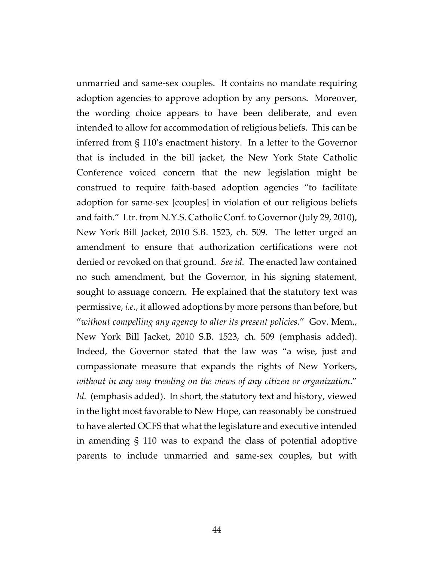unmarried and same-sex couples. It contains no mandate requiring adoption agencies to approve adoption by any persons. Moreover, the wording choice appears to have been deliberate, and even intended to allow for accommodation of religious beliefs. This can be inferred from § 110's enactment history. In a letter to the Governor that is included in the bill jacket, the New York State Catholic Conference voiced concern that the new legislation might be construed to require faith-based adoption agencies "to facilitate adoption for same-sex [couples] in violation of our religious beliefs and faith." Ltr. from N.Y.S. Catholic Conf. to Governor (July 29, 2010), New York Bill Jacket, 2010 S.B. 1523, ch. 509. The letter urged an amendment to ensure that authorization certifications were not denied or revoked on that ground. *See id.* The enacted law contained no such amendment, but the Governor, in his signing statement, sought to assuage concern. He explained that the statutory text was permissive, *i.e.*, it allowed adoptions by more persons than before, but "*without compelling any agency to alter its present policies.*" Gov. Mem., New York Bill Jacket, 2010 S.B. 1523, ch. 509 (emphasis added). Indeed, the Governor stated that the law was "a wise, just and compassionate measure that expands the rights of New Yorkers, *without in any way treading on the views of any citizen or organization*." Id. (emphasis added). In short, the statutory text and history, viewed in the light most favorable to New Hope, can reasonably be construed to have alerted OCFS that what the legislature and executive intended in amending § 110 was to expand the class of potential adoptive parents to include unmarried and same-sex couples, but with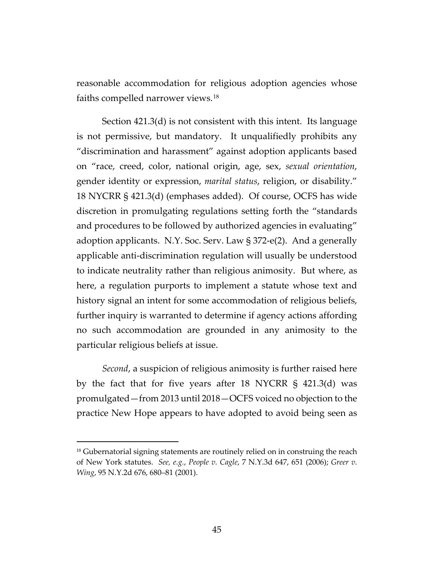reasonable accommodation for religious adoption agencies whose faiths compelled narrower views.[18](#page-44-0)

Section 421.3(d) is not consistent with this intent. Its language is not permissive, but mandatory. It unqualifiedly prohibits any "discrimination and harassment" against adoption applicants based on "race, creed, color, national origin, age, sex, *sexual orientation*, gender identity or expression, *marital status*, religion, or disability." 18 NYCRR § 421.3(d) (emphases added). Of course, OCFS has wide discretion in promulgating regulations setting forth the "standards and procedures to be followed by authorized agencies in evaluating" adoption applicants. N.Y. Soc. Serv. Law § 372-e(2). And a generally applicable anti-discrimination regulation will usually be understood to indicate neutrality rather than religious animosity. But where, as here, a regulation purports to implement a statute whose text and history signal an intent for some accommodation of religious beliefs, further inquiry is warranted to determine if agency actions affording no such accommodation are grounded in any animosity to the particular religious beliefs at issue.

*Second*, a suspicion of religious animosity is further raised here by the fact that for five years after 18 NYCRR § 421.3(d) was promulgated—from 2013 until 2018—OCFS voiced no objection to the practice New Hope appears to have adopted to avoid being seen as

<span id="page-44-0"></span><sup>&</sup>lt;sup>18</sup> Gubernatorial signing statements are routinely relied on in construing the reach of New York statutes. *See, e.g.*, *People v. Cagle*, 7 N.Y.3d 647, 651 (2006); *Greer v. Wing*, 95 N.Y.2d 676, 680–81 (2001).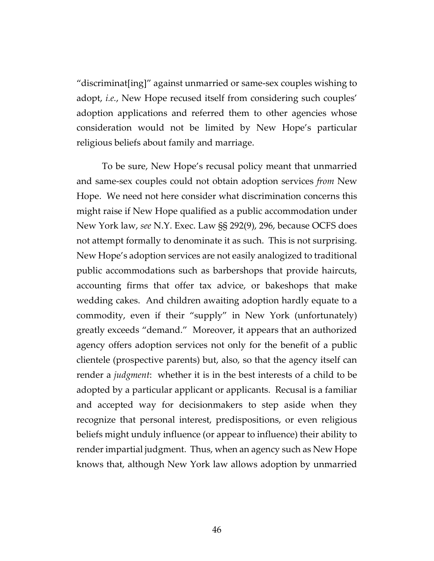"discriminat[ing]" against unmarried or same-sex couples wishing to adopt, *i.e.*, New Hope recused itself from considering such couples' adoption applications and referred them to other agencies whose consideration would not be limited by New Hope's particular religious beliefs about family and marriage.

To be sure, New Hope's recusal policy meant that unmarried and same-sex couples could not obtain adoption services *from* New Hope. We need not here consider what discrimination concerns this might raise if New Hope qualified as a public accommodation under New York law, *see* N.Y. Exec. Law §§ 292(9), 296, because OCFS does not attempt formally to denominate it as such.This is not surprising. New Hope's adoption services are not easily analogized to traditional public accommodations such as barbershops that provide haircuts, accounting firms that offer tax advice, or bakeshops that make wedding cakes. And children awaiting adoption hardly equate to a commodity, even if their "supply" in New York (unfortunately) greatly exceeds "demand." Moreover, it appears that an authorized agency offers adoption services not only for the benefit of a public clientele (prospective parents) but, also, so that the agency itself can render a *judgment*: whether it is in the best interests of a child to be adopted by a particular applicant or applicants. Recusal is a familiar and accepted way for decisionmakers to step aside when they recognize that personal interest, predispositions, or even religious beliefs might unduly influence (or appear to influence) their ability to render impartial judgment. Thus, when an agency such as New Hope knows that, although New York law allows adoption by unmarried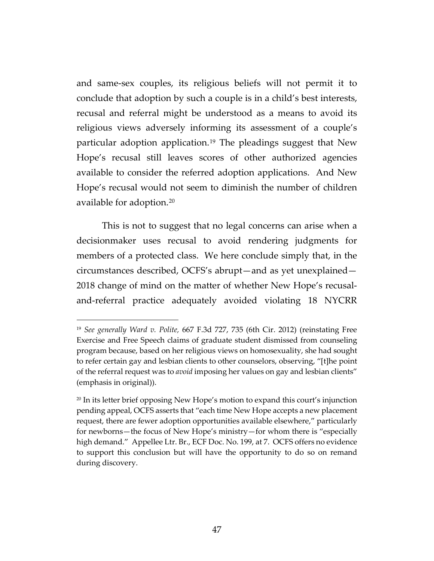and same-sex couples, its religious beliefs will not permit it to conclude that adoption by such a couple is in a child's best interests, recusal and referral might be understood as a means to avoid its religious views adversely informing its assessment of a couple's particular adoption application.[19](#page-46-0) The pleadings suggest that New Hope's recusal still leaves scores of other authorized agencies available to consider the referred adoption applications. And New Hope's recusal would not seem to diminish the number of children available for adoption.[20](#page-46-1) 

This is not to suggest that no legal concerns can arise when a decisionmaker uses recusal to avoid rendering judgments for members of a protected class. We here conclude simply that, in the circumstances described, OCFS's abrupt—and as yet unexplained— 2018 change of mind on the matter of whether New Hope's recusaland-referral practice adequately avoided violating 18 NYCRR

<span id="page-46-0"></span><sup>19</sup> *See generally Ward v. Polite,* 667 F.3d 727, 735 (6th Cir. 2012) (reinstating Free Exercise and Free Speech claims of graduate student dismissed from counseling program because, based on her religious views on homosexuality, she had sought to refer certain gay and lesbian clients to other counselors, observing, "[t]he point of the referral request was to *avoid* imposing her values on gay and lesbian clients" (emphasis in original)).

<span id="page-46-1"></span> $20$  In its letter brief opposing New Hope's motion to expand this court's injunction pending appeal, OCFS asserts that "each time New Hope accepts a new placement request, there are fewer adoption opportunities available elsewhere," particularly for newborns—the focus of New Hope's ministry—for whom there is "especially high demand." Appellee Ltr. Br., ECF Doc. No. 199, at 7. OCFS offers no evidence to support this conclusion but will have the opportunity to do so on remand during discovery.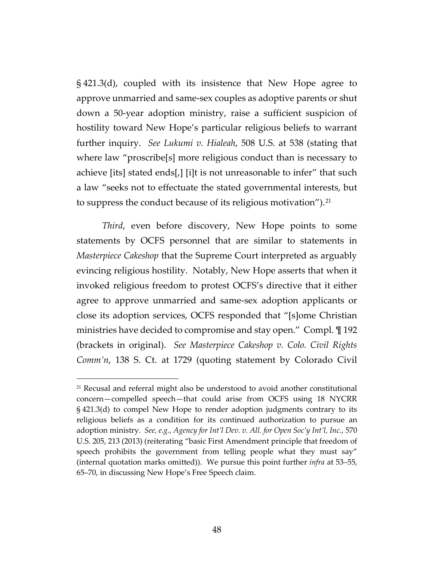§ 421.3(d), coupled with its insistence that New Hope agree to approve unmarried and same-sex couples as adoptive parents or shut down a 50-year adoption ministry, raise a sufficient suspicion of hostility toward New Hope's particular religious beliefs to warrant further inquiry. *See Lukumi v. Hialeah*, 508 U.S. at 538 (stating that where law "proscribe[s] more religious conduct than is necessary to achieve [its] stated ends[,] [i]t is not unreasonable to infer" that such a law "seeks not to effectuate the stated governmental interests, but to suppress the conduct because of its religious motivation").<sup>21</sup>

*Third*, even before discovery, New Hope points to some statements by OCFS personnel that are similar to statements in *Masterpiece Cakeshop* that the Supreme Court interpreted as arguably evincing religious hostility. Notably, New Hope asserts that when it invoked religious freedom to protest OCFS's directive that it either agree to approve unmarried and same-sex adoption applicants or close its adoption services, OCFS responded that "[s]ome Christian ministries have decided to compromise and stay open." Compl. ¶ 192 (brackets in original). *See Masterpiece Cakeshop v. Colo. Civil Rights Comm'n*, 138 S. Ct. at 1729 (quoting statement by Colorado Civil

<span id="page-47-0"></span><sup>21</sup> Recusal and referral might also be understood to avoid another constitutional concern—compelled speech—that could arise from OCFS using 18 NYCRR § 421.3(d) to compel New Hope to render adoption judgments contrary to its religious beliefs as a condition for its continued authorization to pursue an adoption ministry. *See, e.g.*, *Agency for Int'l Dev. v. All. for Open Soc'y Int'l, Inc.*, 570 U.S. 205, 213 (2013) (reiterating "basic First Amendment principle that freedom of speech prohibits the government from telling people what they must say" (internal quotation marks omitted)). We pursue this point further *infra* at 53–55, 65–70, in discussing New Hope's Free Speech claim.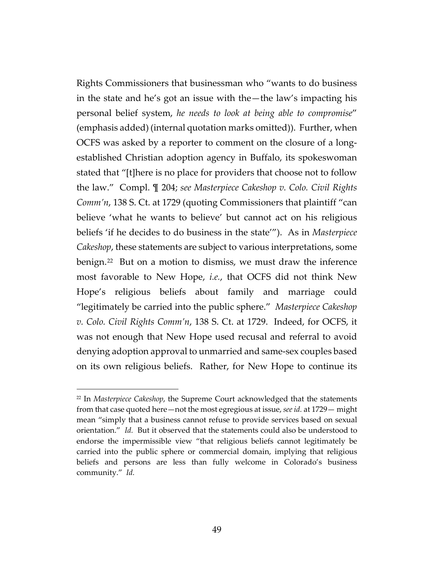Rights Commissioners that businessman who "wants to do business in the state and he's got an issue with the—the law's impacting his personal belief system, *he needs to look at being able to compromise*" (emphasis added) (internal quotation marks omitted)). Further, when OCFS was asked by a reporter to comment on the closure of a longestablished Christian adoption agency in Buffalo, its spokeswoman stated that "[t]here is no place for providers that choose not to follow the law." Compl. ¶ 204; *see Masterpiece Cakeshop v. Colo. Civil Rights Comm'n*, 138 S. Ct. at 1729 (quoting Commissioners that plaintiff "can believe 'what he wants to believe' but cannot act on his religious beliefs 'if he decides to do business in the state'"). As in *Masterpiece Cakeshop*, these statements are subject to various interpretations, some benign.[22](#page-48-0) But on a motion to dismiss, we must draw the inference most favorable to New Hope, *i.e.*, that OCFS did not think New Hope's religious beliefs about family and marriage could "legitimately be carried into the public sphere." *Masterpiece Cakeshop v. Colo. Civil Rights Comm'n*, 138 S. Ct. at 1729. Indeed, for OCFS, it was not enough that New Hope used recusal and referral to avoid denying adoption approval to unmarried and same-sex couples based on its own religious beliefs. Rather, for New Hope to continue its

<span id="page-48-0"></span><sup>22</sup> In *Masterpiece Cakeshop*, the Supreme Court acknowledged that the statements from that case quoted here—not the most egregious at issue, *see id.* at 1729— might mean "simply that a business cannot refuse to provide services based on sexual orientation." *Id.* But it observed that the statements could also be understood to endorse the impermissible view "that religious beliefs cannot legitimately be carried into the public sphere or commercial domain, implying that religious beliefs and persons are less than fully welcome in Colorado's business community." *Id.*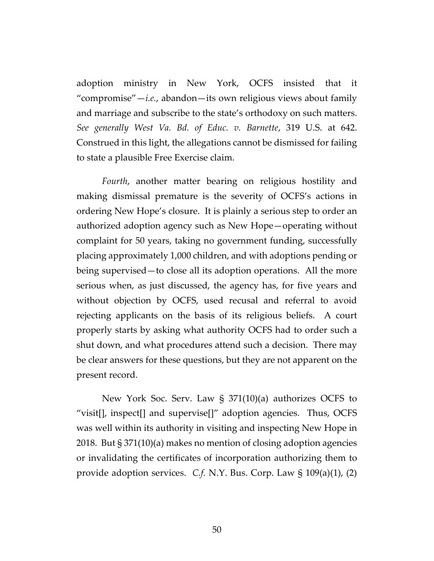adoption ministry in New York, OCFS insisted that it "compromise" $-i.e.,$  abandon $-i$ ts own religious views about family and marriage and subscribe to the state's orthodoxy on such matters. *See generally West Va. Bd. of Educ. v. Barnette*, 319 U.S. at 642. Construed in this light, the allegations cannot be dismissed for failing to state a plausible Free Exercise claim.

*Fourth*, another matter bearing on religious hostility and making dismissal premature is the severity of OCFS's actions in ordering New Hope's closure. It is plainly a serious step to order an authorized adoption agency such as New Hope—operating without complaint for 50 years, taking no government funding, successfully placing approximately 1,000 children, and with adoptions pending or being supervised—to close all its adoption operations. All the more serious when, as just discussed, the agency has, for five years and without objection by OCFS, used recusal and referral to avoid rejecting applicants on the basis of its religious beliefs. A court properly starts by asking what authority OCFS had to order such a shut down, and what procedures attend such a decision. There may be clear answers for these questions, but they are not apparent on the present record.

New York Soc. Serv. Law § 371(10)(a) authorizes OCFS to "visit[], inspect[] and supervise[]" adoption agencies. Thus, OCFS was well within its authority in visiting and inspecting New Hope in 2018.But § 371(10)(a) makes no mention of closing adoption agencies or invalidating the certificates of incorporation authorizing them to provide adoption services. *C.f.* N.Y. Bus. Corp. Law § 109(a)(1), (2)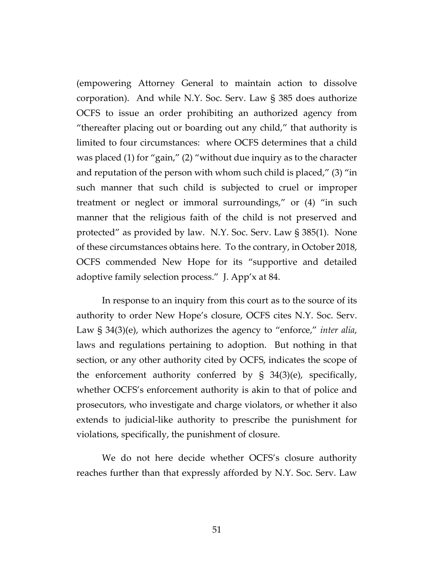(empowering Attorney General to maintain action to dissolve corporation). And while N.Y. Soc. Serv. Law § 385 does authorize OCFS to issue an order prohibiting an authorized agency from "thereafter placing out or boarding out any child," that authority is limited to four circumstances: where OCFS determines that a child was placed (1) for "gain," (2) "without due inquiry as to the character and reputation of the person with whom such child is placed," (3) "in such manner that such child is subjected to cruel or improper treatment or neglect or immoral surroundings," or (4) "in such manner that the religious faith of the child is not preserved and protected" as provided by law. N.Y. Soc. Serv. Law § 385(1). None of these circumstances obtains here. To the contrary, in October 2018, OCFS commended New Hope for its "supportive and detailed adoptive family selection process." J. App'x at 84.

In response to an inquiry from this court as to the source of its authority to order New Hope's closure, OCFS cites N.Y. Soc. Serv. Law § 34(3)(e), which authorizes the agency to "enforce," *inter alia*, laws and regulations pertaining to adoption. But nothing in that section, or any other authority cited by OCFS, indicates the scope of the enforcement authority conferred by § 34(3)(e), specifically, whether OCFS's enforcement authority is akin to that of police and prosecutors, who investigate and charge violators, or whether it also extends to judicial-like authority to prescribe the punishment for violations, specifically, the punishment of closure.

We do not here decide whether OCFS's closure authority reaches further than that expressly afforded by N.Y. Soc. Serv. Law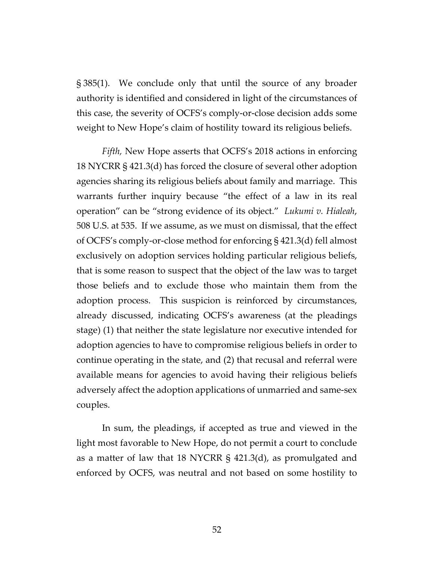§ 385(1). We conclude only that until the source of any broader authority is identified and considered in light of the circumstances of this case, the severity of OCFS's comply-or-close decision adds some weight to New Hope's claim of hostility toward its religious beliefs.

*Fifth,* New Hope asserts that OCFS's 2018 actions in enforcing 18 NYCRR § 421.3(d) has forced the closure of several other adoption agencies sharing its religious beliefs about family and marriage. This warrants further inquiry because "the effect of a law in its real operation" can be "strong evidence of its object." *Lukumi v. Hialeah*, 508 U.S. at 535. If we assume, as we must on dismissal, that the effect of OCFS's comply-or-close method for enforcing § 421.3(d) fell almost exclusively on adoption services holding particular religious beliefs, that is some reason to suspect that the object of the law was to target those beliefs and to exclude those who maintain them from the adoption process. This suspicion is reinforced by circumstances, already discussed, indicating OCFS's awareness (at the pleadings stage) (1) that neither the state legislature nor executive intended for adoption agencies to have to compromise religious beliefs in order to continue operating in the state, and (2) that recusal and referral were available means for agencies to avoid having their religious beliefs adversely affect the adoption applications of unmarried and same-sex couples.

In sum, the pleadings, if accepted as true and viewed in the light most favorable to New Hope, do not permit a court to conclude as a matter of law that 18 NYCRR § 421.3(d), as promulgated and enforced by OCFS, was neutral and not based on some hostility to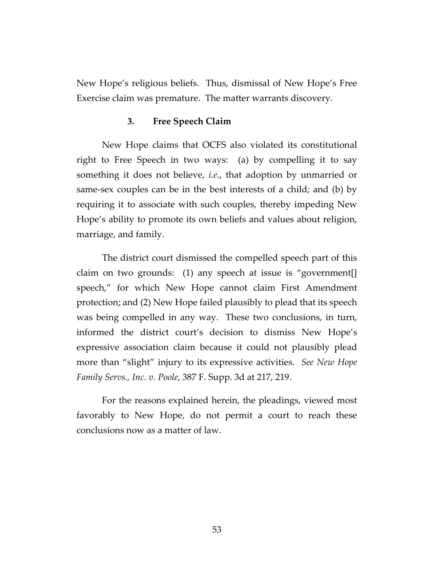New Hope's religious beliefs. Thus, dismissal of New Hope's Free Exercise claim was premature. The matter warrants discovery.

#### **3. Free Speech Claim**

New Hope claims that OCFS also violated its constitutional right to Free Speech in two ways: (a) by compelling it to say something it does not believe, *i.e.*, that adoption by unmarried or same-sex couples can be in the best interests of a child; and (b) by requiring it to associate with such couples, thereby impeding New Hope's ability to promote its own beliefs and values about religion, marriage, and family.

The district court dismissed the compelled speech part of this claim on two grounds: (1) any speech at issue is "government[] speech," for which New Hope cannot claim First Amendment protection; and (2) New Hope failed plausibly to plead that its speech was being compelled in any way. These two conclusions, in turn, informed the district court's decision to dismiss New Hope's expressive association claim because it could not plausibly plead more than "slight" injury to its expressive activities. *See New Hope Family Servs., Inc. v. Poole*, 387 F. Supp. 3d at 217, 219.

For the reasons explained herein, the pleadings, viewed most favorably to New Hope, do not permit a court to reach these conclusions now as a matter of law.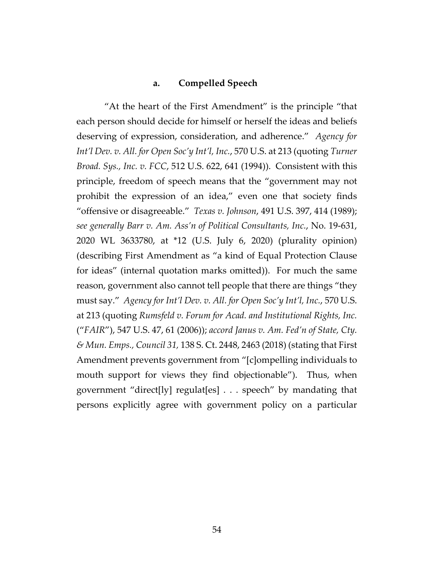### **a. Compelled Speech**

"At the heart of the First Amendment" is the principle "that each person should decide for himself or herself the ideas and beliefs deserving of expression, consideration, and adherence." *Agency for Int'l Dev. v. All. for Open Soc'y Int'l, Inc.*, 570 U.S. at 213 (quoting *Turner Broad. Sys., Inc. v. FCC*, 512 U.S. 622, 641 (1994)). Consistent with this principle, freedom of speech means that the "government may not prohibit the expression of an idea," even one that society finds "offensive or disagreeable." *Texas v. Johnson*, 491 U.S. 397, 414 (1989); *see generally Barr v. Am. Ass'n of Political Consultants, Inc.*, No. 19-631, 2020 WL 3633780, at \*12 (U.S. July 6, 2020) (plurality opinion) (describing First Amendment as "a kind of Equal Protection Clause for ideas" (internal quotation marks omitted)). For much the same reason, government also cannot tell people that there are things "they must say." *Agency for Int'l Dev. v. All. for Open Soc'y Int'l, Inc.*, 570 U.S. at 213 (quoting *Rumsfeld v. Forum for Acad. and Institutional Rights, Inc.* ("*FAIR*"), 547 U.S. 47, 61 (2006)); *accord Janus v. Am. Fed'n of State, Cty. & Mun. Emps., Council 31,* 138 S. Ct. 2448, 2463 (2018) (stating that First Amendment prevents government from "[c]ompelling individuals to mouth support for views they find objectionable"). Thus, when government "direct[ly] regulat[es] . . . speech" by mandating that persons explicitly agree with government policy on a particular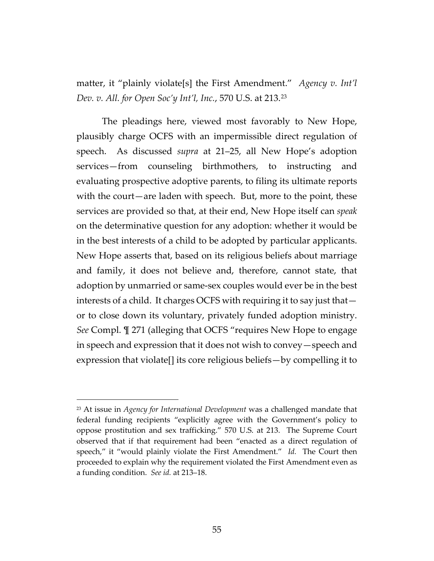matter, it "plainly violate[s] the First Amendment." *Agency v. Int'l Dev. v. All. for Open Soc'y Int'l, Inc.*, 570 U.S. at 213.[23](#page-54-0)

The pleadings here, viewed most favorably to New Hope, plausibly charge OCFS with an impermissible direct regulation of speech. As discussed *supra* at 21–25, all New Hope's adoption services—from counseling birthmothers, to instructing and evaluating prospective adoptive parents, to filing its ultimate reports with the court—are laden with speech. But, more to the point, these services are provided so that, at their end, New Hope itself can *speak* on the determinative question for any adoption: whether it would be in the best interests of a child to be adopted by particular applicants. New Hope asserts that, based on its religious beliefs about marriage and family, it does not believe and, therefore, cannot state, that adoption by unmarried or same-sex couples would ever be in the best interests of a child. It charges OCFS with requiring it to say just that or to close down its voluntary, privately funded adoption ministry. *See* Compl. ¶ 271 (alleging that OCFS "requires New Hope to engage in speech and expression that it does not wish to convey—speech and expression that violate[] its core religious beliefs—by compelling it to

<span id="page-54-0"></span><sup>23</sup> At issue in *Agency for International Development* was a challenged mandate that federal funding recipients "explicitly agree with the Government's policy to oppose prostitution and sex trafficking." 570 U.S. at 213. The Supreme Court observed that if that requirement had been "enacted as a direct regulation of speech," it "would plainly violate the First Amendment." *Id.* The Court then proceeded to explain why the requirement violated the First Amendment even as a funding condition. *See id.* at 213–18.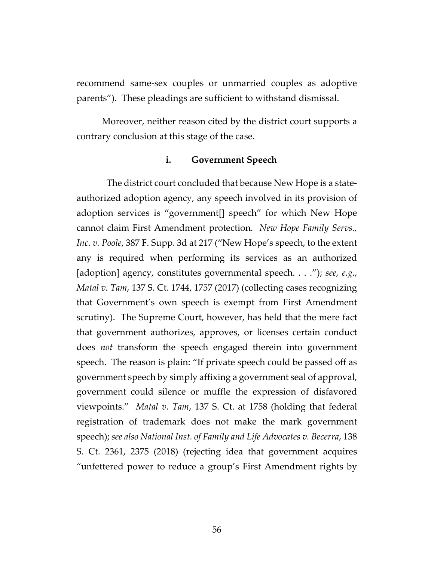recommend same-sex couples or unmarried couples as adoptive parents"). These pleadings are sufficient to withstand dismissal.

Moreover, neither reason cited by the district court supports a contrary conclusion at this stage of the case.

#### **i. Government Speech**

The district court concluded that because New Hope is a stateauthorized adoption agency, any speech involved in its provision of adoption services is "government[] speech" for which New Hope cannot claim First Amendment protection. *New Hope Family Servs., Inc. v. Poole*, 387 F. Supp. 3d at 217 ("New Hope's speech, to the extent any is required when performing its services as an authorized [adoption] agency, constitutes governmental speech. . . ."); *see, e.g.*, *Matal v. Tam*, 137 S. Ct. 1744, 1757 (2017) (collecting cases recognizing that Government's own speech is exempt from First Amendment scrutiny). The Supreme Court, however, has held that the mere fact that government authorizes, approves, or licenses certain conduct does *not* transform the speech engaged therein into government speech. The reason is plain: "If private speech could be passed off as government speech by simply affixing a government seal of approval, government could silence or muffle the expression of disfavored viewpoints." *Matal v. Tam*, 137 S. Ct. at 1758 (holding that federal registration of trademark does not make the mark government speech); *see also National Inst. of Family and Life Advocates v. Becerra*, 138 S. Ct. 2361, 2375 (2018) (rejecting idea that government acquires "unfettered power to reduce a group's First Amendment rights by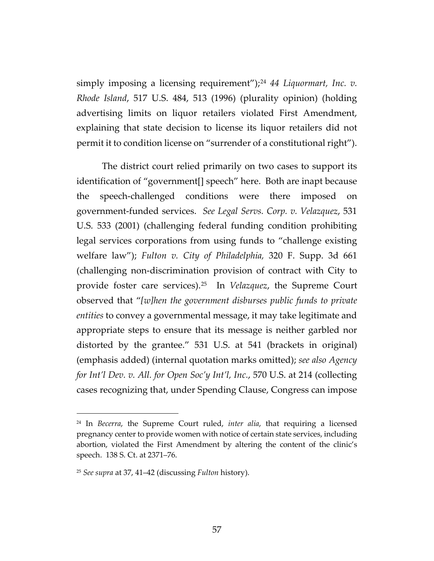simply imposing a licensing requirement");<sup>[24](#page-56-0)</sup> 44 Liquormart, Inc. v. *Rhode Island*, 517 U.S. 484, 513 (1996) (plurality opinion) (holding advertising limits on liquor retailers violated First Amendment, explaining that state decision to license its liquor retailers did not permit it to condition license on "surrender of a constitutional right").

The district court relied primarily on two cases to support its identification of "government[] speech" here. Both are inapt because the speech-challenged conditions were there imposed on government-funded services. *See Legal Servs. Corp. v. Velazquez*, 531 U.S. 533 (2001) (challenging federal funding condition prohibiting legal services corporations from using funds to "challenge existing welfare law"); *Fulton v. City of Philadelphia,* 320 F. Supp. 3d 661 (challenging non-discrimination provision of contract with City to provide foster care services).[25](#page-56-1) In *Velazquez*, the Supreme Court observed that "*[w]hen the government disburses public funds to private entities* to convey a governmental message, it may take legitimate and appropriate steps to ensure that its message is neither garbled nor distorted by the grantee." 531 U.S. at 541 (brackets in original) (emphasis added) (internal quotation marks omitted); *see also Agency for Int'l Dev. v. All. for Open Soc'y Int'l, Inc.*, 570 U.S. at 214 (collecting cases recognizing that, under Spending Clause, Congress can impose

<span id="page-56-0"></span><sup>24</sup> In *Becerra*, the Supreme Court ruled, *inter alia*, that requiring a licensed pregnancy center to provide women with notice of certain state services, including abortion, violated the First Amendment by altering the content of the clinic's speech. 138 S. Ct. at 2371–76.

<span id="page-56-1"></span><sup>25</sup> *See supra* at 37, 41–42 (discussing *Fulton* history).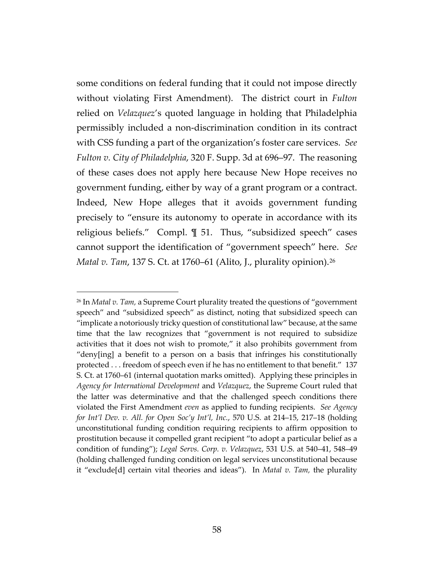some conditions on federal funding that it could not impose directly without violating First Amendment). The district court in *Fulton* relied on *Velazquez*'s quoted language in holding that Philadelphia permissibly included a non-discrimination condition in its contract with CSS funding a part of the organization's foster care services. *See Fulton v. City of Philadelphia*, 320 F. Supp. 3d at 696–97. The reasoning of these cases does not apply here because New Hope receives no government funding, either by way of a grant program or a contract. Indeed, New Hope alleges that it avoids government funding precisely to "ensure its autonomy to operate in accordance with its religious beliefs." Compl. ¶ 51. Thus, "subsidized speech" cases cannot support the identification of "government speech" here. *See Matal v. Tam*, 137 S. Ct. at 1760–61 (Alito, J., plurality opinion).[26](#page-57-0)

<span id="page-57-0"></span><sup>26</sup> In *Matal v. Tam,* a Supreme Court plurality treated the questions of "government speech" and "subsidized speech" as distinct, noting that subsidized speech can "implicate a notoriously tricky question of constitutional law" because, at the same time that the law recognizes that "government is not required to subsidize activities that it does not wish to promote," it also prohibits government from "deny[ing] a benefit to a person on a basis that infringes his constitutionally protected . . . freedom of speech even if he has no entitlement to that benefit." 137 S. Ct. at 1760–61 (internal quotation marks omitted). Applying these principles in *Agency for International Development* and *Velazquez*, the Supreme Court ruled that the latter was determinative and that the challenged speech conditions there violated the First Amendment *even* as applied to funding recipients. *See Agency for Int'l Dev. v. All. for Open Soc'y Int'l, Inc.*, 570 U.S. at 214–15, 217–18 (holding unconstitutional funding condition requiring recipients to affirm opposition to prostitution because it compelled grant recipient "to adopt a particular belief as a condition of funding"); *Legal Servs. Corp. v. Velazquez*, 531 U.S. at 540–41, 548–49 (holding challenged funding condition on legal services unconstitutional because it "exclude[d] certain vital theories and ideas"). In *Matal v. Tam,* the plurality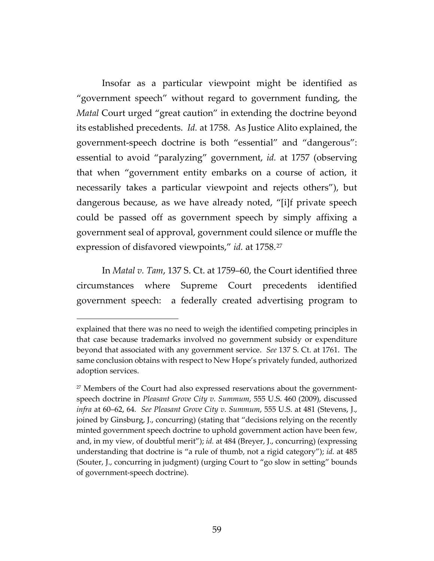Insofar as a particular viewpoint might be identified as "government speech" without regard to government funding, the *Matal* Court urged "great caution" in extending the doctrine beyond its established precedents. *Id.* at 1758. As Justice Alito explained, the government-speech doctrine is both "essential" and "dangerous": essential to avoid "paralyzing" government, *id.* at 1757 (observing that when "government entity embarks on a course of action, it necessarily takes a particular viewpoint and rejects others"), but dangerous because, as we have already noted, "[i]f private speech could be passed off as government speech by simply affixing a government seal of approval, government could silence or muffle the expression of disfavored viewpoints," *id.* at 1758.[27](#page-58-0)

In *Matal v. Tam*, 137 S. Ct. at 1759–60, the Court identified three circumstances where Supreme Court precedents identified government speech: a federally created advertising program to

explained that there was no need to weigh the identified competing principles in that case because trademarks involved no government subsidy or expenditure beyond that associated with any government service. *See* 137 S. Ct. at 1761.The same conclusion obtains with respect to New Hope's privately funded, authorized adoption services.

<span id="page-58-0"></span><sup>&</sup>lt;sup>27</sup> Members of the Court had also expressed reservations about the governmentspeech doctrine in *Pleasant Grove City v. Summum*, 555 U.S. 460 (2009), discussed *infra* at 60–62, 64*. See Pleasant Grove City v. Summum*, 555 U.S. at 481 (Stevens, J., joined by Ginsburg, J., concurring) (stating that "decisions relying on the recently minted government speech doctrine to uphold government action have been few, and, in my view, of doubtful merit"); *id.* at 484 (Breyer, J., concurring) (expressing understanding that doctrine is "a rule of thumb, not a rigid category"); *id.* at 485 (Souter, J., concurring in judgment) (urging Court to "go slow in setting" bounds of government-speech doctrine).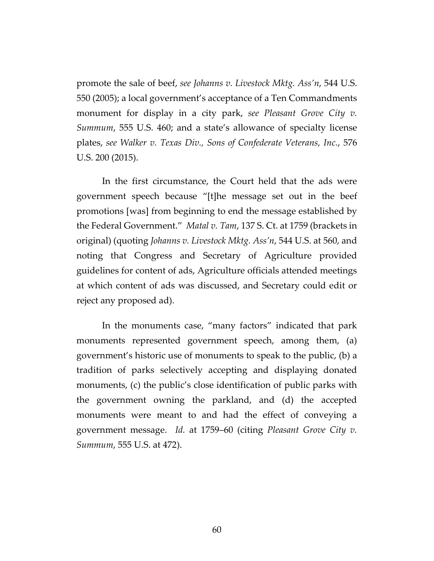promote the sale of beef, *see Johanns v. Livestock Mktg. Ass'n*, 544 U.S. 550 (2005); a local government's acceptance of a Ten Commandments monument for display in a city park, *see Pleasant Grove City v. Summum*, 555 U.S. 460; and a state's allowance of specialty license plates, *see Walker v. Texas Div., Sons of Confederate Veterans, Inc.*, 576 U.S. 200 (2015).

In the first circumstance, the Court held that the ads were government speech because "[t]he message set out in the beef promotions [was] from beginning to end the message established by the Federal Government." *Matal v. Tam*, 137 S. Ct. at 1759 (brackets in original) (quoting *Johanns v. Livestock Mktg. Ass'n*, 544 U.S. at 560, and noting that Congress and Secretary of Agriculture provided guidelines for content of ads, Agriculture officials attended meetings at which content of ads was discussed, and Secretary could edit or reject any proposed ad).

In the monuments case, "many factors" indicated that park monuments represented government speech, among them, (a) government's historic use of monuments to speak to the public, (b) a tradition of parks selectively accepting and displaying donated monuments, (c) the public's close identification of public parks with the government owning the parkland, and (d) the accepted monuments were meant to and had the effect of conveying a government message. *Id.* at 1759–60 (citing *Pleasant Grove City v. Summum*, 555 U.S. at 472).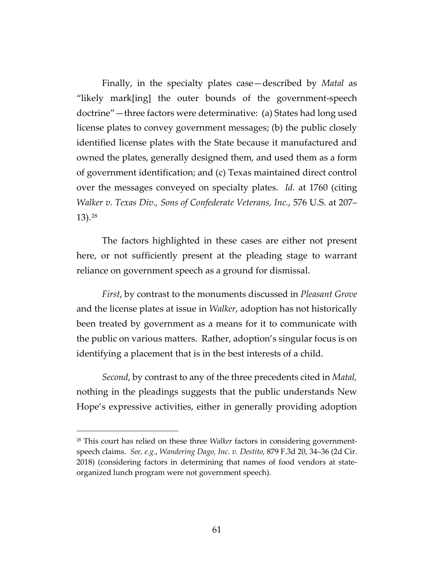Finally, in the specialty plates case—described by *Matal* as "likely mark[ing] the outer bounds of the government-speech doctrine"—three factors were determinative: (a) States had long used license plates to convey government messages; (b) the public closely identified license plates with the State because it manufactured and owned the plates, generally designed them, and used them as a form of government identification; and (c) Texas maintained direct control over the messages conveyed on specialty plates. *Id.* at 1760 (citing *Walker v. Texas Div., Sons of Confederate Veterans, Inc.*, 576 U.S. at 207– 13).[28](#page-60-0)

The factors highlighted in these cases are either not present here, or not sufficiently present at the pleading stage to warrant reliance on government speech as a ground for dismissal.

*First*, by contrast to the monuments discussed in *Pleasant Grove* and the license plates at issue in *Walker*, adoption has not historically been treated by government as a means for it to communicate with the public on various matters. Rather, adoption's singular focus is on identifying a placement that is in the best interests of a child.

*Second*, by contrast to any of the three precedents cited in *Matal,*  nothing in the pleadings suggests that the public understands New Hope's expressive activities, either in generally providing adoption

<span id="page-60-0"></span><sup>28</sup> This court has relied on these three *Walker* factors in considering governmentspeech claims. *See, e.g.*, *Wandering Dago, Inc. v. Destito*, 879 F.3d 20, 34–36 (2d Cir. 2018) (considering factors in determining that names of food vendors at stateorganized lunch program were not government speech).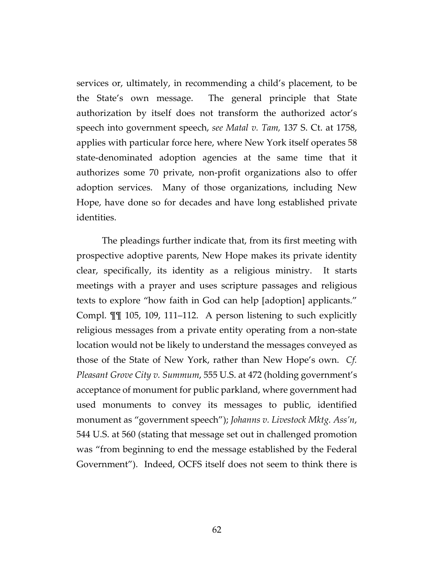services or, ultimately, in recommending a child's placement, to be the State's own message. The general principle that State authorization by itself does not transform the authorized actor's speech into government speech, *see Matal v. Tam,* 137 S. Ct. at 1758, applies with particular force here, where New York itself operates 58 state-denominated adoption agencies at the same time that it authorizes some 70 private, non-profit organizations also to offer adoption services. Many of those organizations, including New Hope, have done so for decades and have long established private identities.

The pleadings further indicate that, from its first meeting with prospective adoptive parents, New Hope makes its private identity clear, specifically, its identity as a religious ministry. It starts meetings with a prayer and uses scripture passages and religious texts to explore "how faith in God can help [adoption] applicants." Compl. ¶¶ 105, 109, 111–112. A person listening to such explicitly religious messages from a private entity operating from a non-state location would not be likely to understand the messages conveyed as those of the State of New York, rather than New Hope's own. *Cf. Pleasant Grove City v. Summum*, 555 U.S. at 472 (holding government's acceptance of monument for public parkland, where government had used monuments to convey its messages to public, identified monument as "government speech"); *Johanns v. Livestock Mktg. Ass'n*, 544 U.S. at 560 (stating that message set out in challenged promotion was "from beginning to end the message established by the Federal Government"). Indeed, OCFS itself does not seem to think there is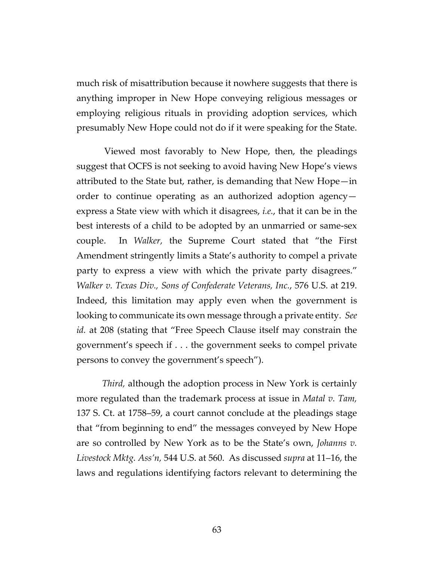much risk of misattribution because it nowhere suggests that there is anything improper in New Hope conveying religious messages or employing religious rituals in providing adoption services, which presumably New Hope could not do if it were speaking for the State.

Viewed most favorably to New Hope, then, the pleadings suggest that OCFS is not seeking to avoid having New Hope's views attributed to the State but, rather, is demanding that New Hope—in order to continue operating as an authorized adoption agency express a State view with which it disagrees, *i.e.*, that it can be in the best interests of a child to be adopted by an unmarried or same-sex couple. In *Walker,* the Supreme Court stated that "the First Amendment stringently limits a State's authority to compel a private party to express a view with which the private party disagrees." *Walker v. Texas Div., Sons of Confederate Veterans, Inc.*, 576 U.S. at 219. Indeed, this limitation may apply even when the government is looking to communicate its own message through a private entity. *See id.* at 208 (stating that "Free Speech Clause itself may constrain the government's speech if . . . the government seeks to compel private persons to convey the government's speech").

*Third,* although the adoption process in New York is certainly more regulated than the trademark process at issue in *Matal v. Tam,*  137 S. Ct. at 1758–59, a court cannot conclude at the pleadings stage that "from beginning to end" the messages conveyed by New Hope are so controlled by New York as to be the State's own, *Johanns v. Livestock Mktg. Ass'n,* 544 U.S. at 560. As discussed *supra* at 11–16, the laws and regulations identifying factors relevant to determining the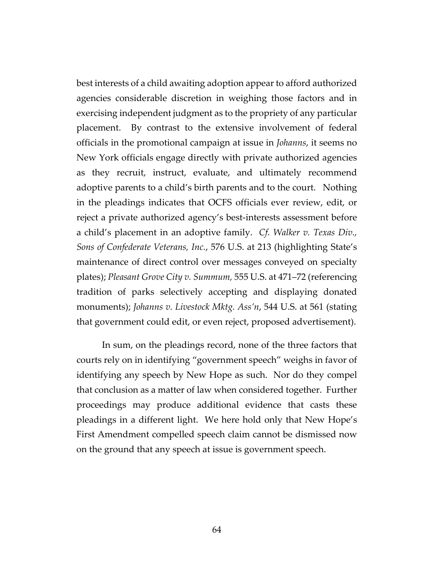best interests of a child awaiting adoption appear to afford authorized agencies considerable discretion in weighing those factors and in exercising independent judgment as to the propriety of any particular placement. By contrast to the extensive involvement of federal officials in the promotional campaign at issue in *Johanns*, it seems no New York officials engage directly with private authorized agencies as they recruit, instruct, evaluate, and ultimately recommend adoptive parents to a child's birth parents and to the court. Nothing in the pleadings indicates that OCFS officials ever review, edit, or reject a private authorized agency's best-interests assessment before a child's placement in an adoptive family. *Cf. Walker v. Texas Div., Sons of Confederate Veterans, Inc.*, 576 U.S. at 213 (highlighting State's maintenance of direct control over messages conveyed on specialty plates); *Pleasant Grove City v. Summum,* 555 U.S. at 471–72 (referencing tradition of parks selectively accepting and displaying donated monuments); *Johanns v. Livestock Mktg. Ass'n*, 544 U.S. at 561 (stating that government could edit, or even reject, proposed advertisement).

In sum, on the pleadings record, none of the three factors that courts rely on in identifying "government speech" weighs in favor of identifying any speech by New Hope as such. Nor do they compel that conclusion as a matter of law when considered together. Further proceedings may produce additional evidence that casts these pleadings in a different light. We here hold only that New Hope's First Amendment compelled speech claim cannot be dismissed now on the ground that any speech at issue is government speech.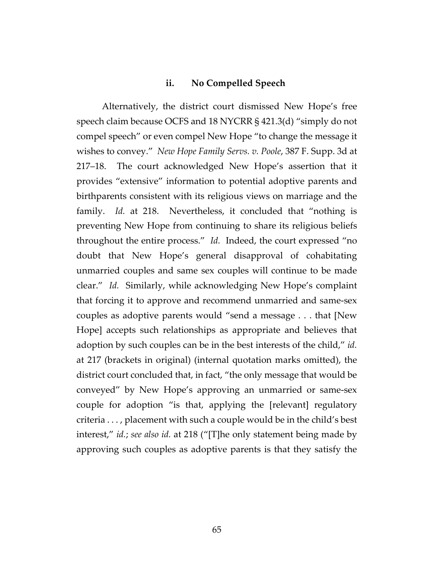### **ii. No Compelled Speech**

Alternatively, the district court dismissed New Hope's free speech claim because OCFS and 18 NYCRR § 421.3(d) "simply do not compel speech" or even compel New Hope "to change the message it wishes to convey." *New Hope Family Servs. v. Poole*, 387 F. Supp. 3d at 217–18. The court acknowledged New Hope's assertion that it provides "extensive" information to potential adoptive parents and birthparents consistent with its religious views on marriage and the family. *Id.* at 218. Nevertheless, it concluded that "nothing is preventing New Hope from continuing to share its religious beliefs throughout the entire process." *Id.* Indeed, the court expressed "no doubt that New Hope's general disapproval of cohabitating unmarried couples and same sex couples will continue to be made clear." *Id.* Similarly, while acknowledging New Hope's complaint that forcing it to approve and recommend unmarried and same-sex couples as adoptive parents would "send a message . . . that [New Hope] accepts such relationships as appropriate and believes that adoption by such couples can be in the best interests of the child," *id.* at 217 (brackets in original) (internal quotation marks omitted), the district court concluded that, in fact, "the only message that would be conveyed" by New Hope's approving an unmarried or same-sex couple for adoption "is that, applying the [relevant] regulatory criteria . . . , placement with such a couple would be in the child's best interest," *id.*; *see also id.* at 218 ("[T]he only statement being made by approving such couples as adoptive parents is that they satisfy the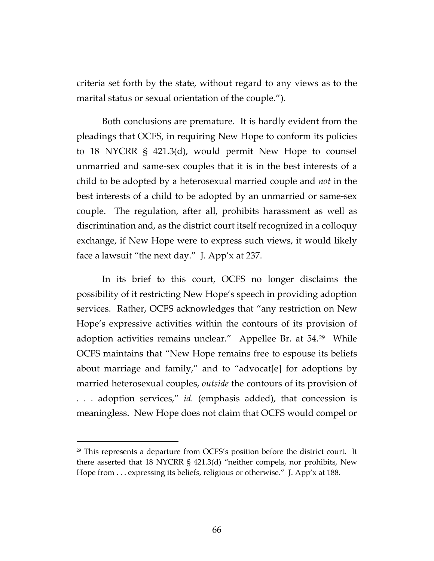criteria set forth by the state, without regard to any views as to the marital status or sexual orientation of the couple.").

Both conclusions are premature. It is hardly evident from the pleadings that OCFS, in requiring New Hope to conform its policies to 18 NYCRR § 421.3(d), would permit New Hope to counsel unmarried and same-sex couples that it is in the best interests of a child to be adopted by a heterosexual married couple and *not* in the best interests of a child to be adopted by an unmarried or same-sex couple. The regulation, after all, prohibits harassment as well as discrimination and, as the district court itself recognized in a colloquy exchange, if New Hope were to express such views, it would likely face a lawsuit "the next day." J. App'x at 237.

In its brief to this court, OCFS no longer disclaims the possibility of it restricting New Hope's speech in providing adoption services. Rather, OCFS acknowledges that "any restriction on New Hope's expressive activities within the contours of its provision of adoption activities remains unclear." Appellee Br. at 54.[29](#page-65-0) While OCFS maintains that "New Hope remains free to espouse its beliefs about marriage and family," and to "advocat[e] for adoptions by married heterosexual couples, *outside* the contours of its provision of . . . adoption services," *id.* (emphasis added), that concession is meaningless. New Hope does not claim that OCFS would compel or

<span id="page-65-0"></span><sup>29</sup> This represents a departure from OCFS's position before the district court. It there asserted that 18 NYCRR § 421.3(d) "neither compels, nor prohibits, New Hope from ... expressing its beliefs, religious or otherwise." J. App'x at 188.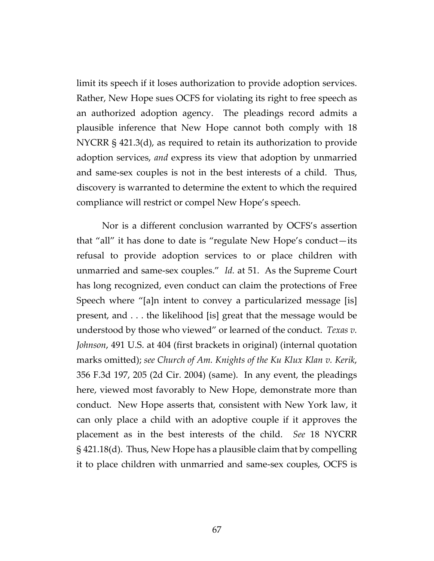limit its speech if it loses authorization to provide adoption services. Rather, New Hope sues OCFS for violating its right to free speech as an authorized adoption agency. The pleadings record admits a plausible inference that New Hope cannot both comply with 18 NYCRR § 421.3(d), as required to retain its authorization to provide adoption services, *and* express its view that adoption by unmarried and same-sex couples is not in the best interests of a child. Thus, discovery is warranted to determine the extent to which the required compliance will restrict or compel New Hope's speech.

Nor is a different conclusion warranted by OCFS's assertion that "all" it has done to date is "regulate New Hope's conduct—its refusal to provide adoption services to or place children with unmarried and same-sex couples." *Id.* at 51. As the Supreme Court has long recognized, even conduct can claim the protections of Free Speech where "[a]n intent to convey a particularized message [is] present, and . . . the likelihood [is] great that the message would be understood by those who viewed" or learned of the conduct. *Texas v. Johnson*, 491 U.S. at 404 (first brackets in original) (internal quotation marks omitted); *see Church of Am. Knights of the Ku Klux Klan v. Kerik*, 356 F.3d 197, 205 (2d Cir. 2004) (same). In any event, the pleadings here, viewed most favorably to New Hope, demonstrate more than conduct. New Hope asserts that, consistent with New York law, it can only place a child with an adoptive couple if it approves the placement as in the best interests of the child. *See* 18 NYCRR § 421.18(d). Thus, New Hope has a plausible claim that by compelling it to place children with unmarried and same-sex couples, OCFS is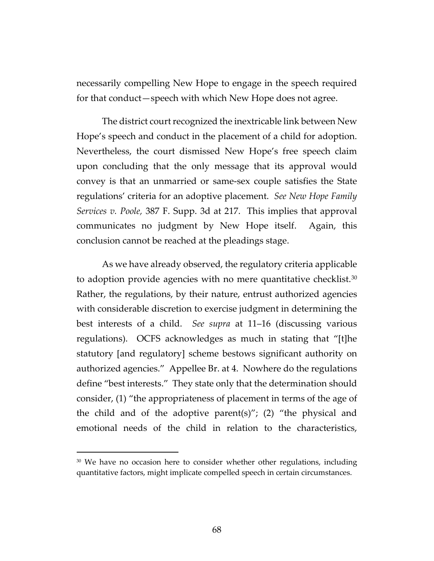necessarily compelling New Hope to engage in the speech required for that conduct—speech with which New Hope does not agree.

The district court recognized the inextricable link between New Hope's speech and conduct in the placement of a child for adoption. Nevertheless, the court dismissed New Hope's free speech claim upon concluding that the only message that its approval would convey is that an unmarried or same-sex couple satisfies the State regulations' criteria for an adoptive placement. *See New Hope Family Services v. Poole,* 387 F. Supp. 3d at 217. This implies that approval communicates no judgment by New Hope itself.Again, this conclusion cannot be reached at the pleadings stage.

As we have already observed, the regulatory criteria applicable to adoption provide agencies with no mere quantitative checklist. $30$ Rather, the regulations, by their nature, entrust authorized agencies with considerable discretion to exercise judgment in determining the best interests of a child. *See supra* at 11–16 (discussing various regulations). OCFS acknowledges as much in stating that "[t]he statutory [and regulatory] scheme bestows significant authority on authorized agencies." Appellee Br. at 4. Nowhere do the regulations define "best interests." They state only that the determination should consider, (1) "the appropriateness of placement in terms of the age of the child and of the adoptive parent(s)"; (2) "the physical and emotional needs of the child in relation to the characteristics,

<span id="page-67-0"></span><sup>&</sup>lt;sup>30</sup> We have no occasion here to consider whether other regulations, including quantitative factors, might implicate compelled speech in certain circumstances.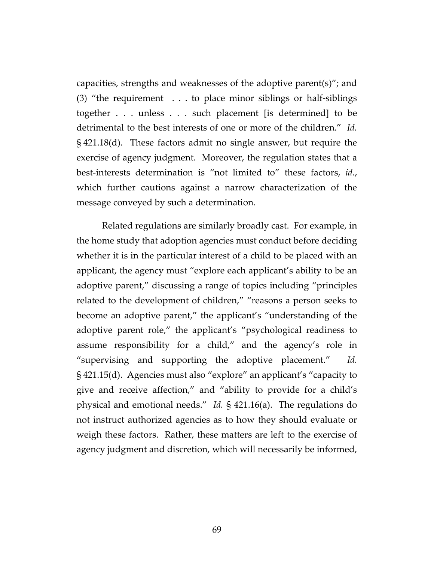capacities, strengths and weaknesses of the adoptive parent(s)"; and (3) "the requirement . . . to place minor siblings or half-siblings together . . . unless . . . such placement [is determined] to be detrimental to the best interests of one or more of the children." *Id.* § 421.18(d). These factors admit no single answer, but require the exercise of agency judgment. Moreover, the regulation states that a best-interests determination is "not limited to" these factors, *id.*, which further cautions against a narrow characterization of the message conveyed by such a determination.

Related regulations are similarly broadly cast. For example, in the home study that adoption agencies must conduct before deciding whether it is in the particular interest of a child to be placed with an applicant, the agency must "explore each applicant's ability to be an adoptive parent," discussing a range of topics including "principles related to the development of children," "reasons a person seeks to become an adoptive parent," the applicant's "understanding of the adoptive parent role," the applicant's "psychological readiness to assume responsibility for a child," and the agency's role in "supervising and supporting the adoptive placement." *Id.* § 421.15(d). Agencies must also "explore" an applicant's "capacity to give and receive affection," and "ability to provide for a child's physical and emotional needs." *Id.* § 421.16(a). The regulations do not instruct authorized agencies as to how they should evaluate or weigh these factors. Rather, these matters are left to the exercise of agency judgment and discretion, which will necessarily be informed,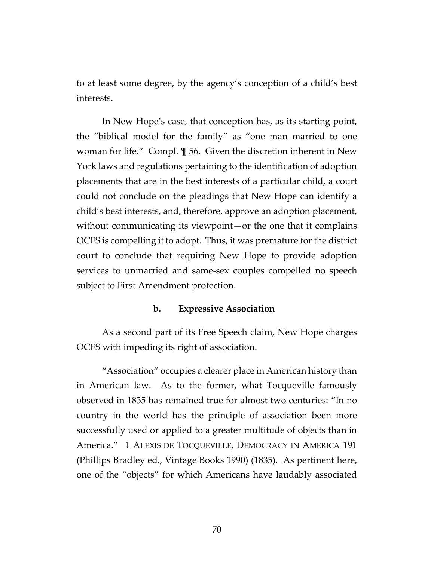to at least some degree, by the agency's conception of a child's best interests.

In New Hope's case, that conception has, as its starting point, the "biblical model for the family" as "one man married to one woman for life." Compl. ¶ 56. Given the discretion inherent in New York laws and regulations pertaining to the identification of adoption placements that are in the best interests of a particular child, a court could not conclude on the pleadings that New Hope can identify a child's best interests, and, therefore, approve an adoption placement, without communicating its viewpoint—or the one that it complains OCFS is compelling it to adopt. Thus, it was premature for the district court to conclude that requiring New Hope to provide adoption services to unmarried and same-sex couples compelled no speech subject to First Amendment protection.

#### **b. Expressive Association**

As a second part of its Free Speech claim, New Hope charges OCFS with impeding its right of association.

"Association" occupies a clearer place in American history than in American law. As to the former, what Tocqueville famously observed in 1835 has remained true for almost two centuries: "In no country in the world has the principle of association been more successfully used or applied to a greater multitude of objects than in America." 1 ALEXIS DE TOCQUEVILLE, DEMOCRACY IN AMERICA 191 (Phillips Bradley ed., Vintage Books 1990) (1835). As pertinent here, one of the "objects" for which Americans have laudably associated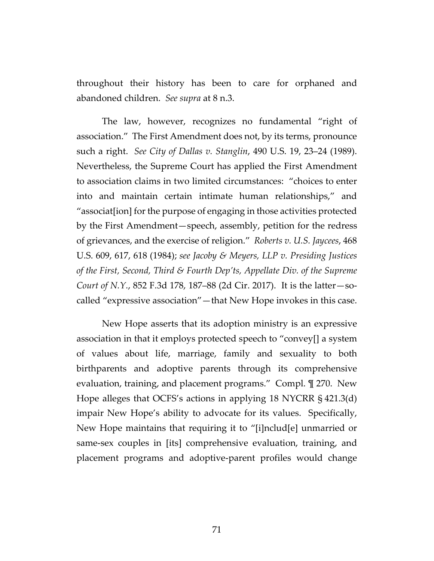throughout their history has been to care for orphaned and abandoned children. *See supra* at 8 n.3.

The law, however, recognizes no fundamental "right of association." The First Amendment does not, by its terms, pronounce such a right. *See City of Dallas v. Stanglin*, 490 U.S. 19, 23–24 (1989). Nevertheless, the Supreme Court has applied the First Amendment to association claims in two limited circumstances: "choices to enter into and maintain certain intimate human relationships," and "associat[ion] for the purpose of engaging in those activities protected by the First Amendment—speech, assembly, petition for the redress of grievances, and the exercise of religion." *Roberts v. U.S. Jaycees*, 468 U.S. 609, 617, 618 (1984); *see Jacoby & Meyers, LLP v. Presiding Justices of the First, Second, Third & Fourth Dep'ts, Appellate Div. of the Supreme Court of N.Y.*, 852 F.3d 178, 187–88 (2d Cir. 2017). It is the latter—socalled "expressive association"—that New Hope invokes in this case.

New Hope asserts that its adoption ministry is an expressive association in that it employs protected speech to "convey[] a system of values about life, marriage, family and sexuality to both birthparents and adoptive parents through its comprehensive evaluation, training, and placement programs." Compl. ¶ 270. New Hope alleges that OCFS's actions in applying 18 NYCRR § 421.3(d) impair New Hope's ability to advocate for its values. Specifically, New Hope maintains that requiring it to "[i]nclud[e] unmarried or same-sex couples in [its] comprehensive evaluation, training, and placement programs and adoptive-parent profiles would change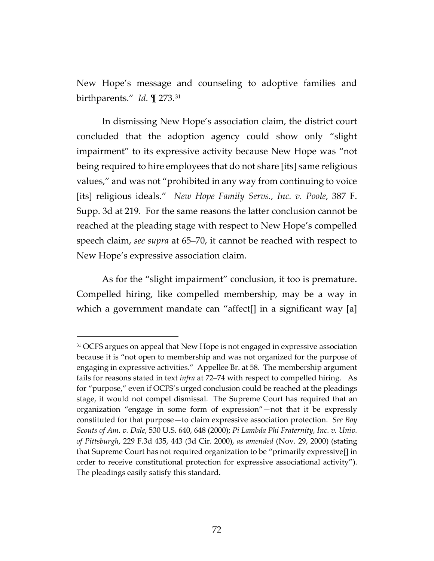New Hope's message and counseling to adoptive families and birthparents." *Id.* ¶ 273.[31](#page-71-0)

In dismissing New Hope's association claim, the district court concluded that the adoption agency could show only "slight impairment" to its expressive activity because New Hope was "not being required to hire employees that do not share [its] same religious values," and was not "prohibited in any way from continuing to voice [its] religious ideals." *New Hope Family Servs., Inc. v. Poole*, 387 F. Supp. 3d at 219. For the same reasons the latter conclusion cannot be reached at the pleading stage with respect to New Hope's compelled speech claim, *see supra* at 65–70, it cannot be reached with respect to New Hope's expressive association claim.

As for the "slight impairment" conclusion, it too is premature. Compelled hiring, like compelled membership, may be a way in which a government mandate can "affect[] in a significant way [a]

<span id="page-71-0"></span><sup>&</sup>lt;sup>31</sup> OCFS argues on appeal that New Hope is not engaged in expressive association because it is "not open to membership and was not organized for the purpose of engaging in expressive activities." Appellee Br. at 58. The membership argument fails for reasons stated in text *infra* at 72–74 with respect to compelled hiring. As for "purpose," even if OCFS's urged conclusion could be reached at the pleadings stage, it would not compel dismissal. The Supreme Court has required that an organization "engage in some form of expression"—not that it be expressly constituted for that purpose—to claim expressive association protection. *See Boy Scouts of Am. v. Dale*, 530 U.S. 640, 648 (2000); *Pi Lambda Phi Fraternity, Inc. v. Univ. of Pittsburgh*, 229 F.3d 435, 443 (3d Cir. 2000), *as amended* (Nov. 29, 2000) (stating that Supreme Court has not required organization to be "primarily expressive[] in order to receive constitutional protection for expressive associational activity"). The pleadings easily satisfy this standard.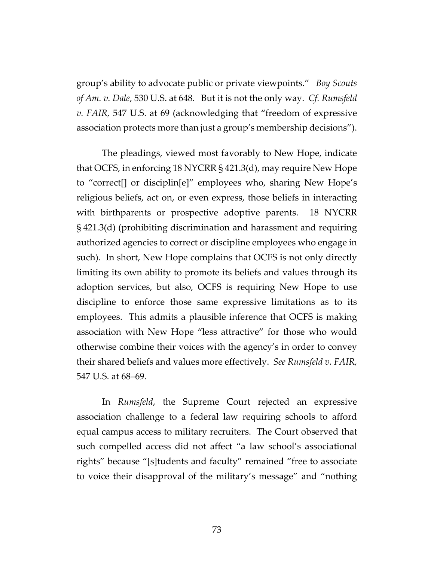group's ability to advocate public or private viewpoints." *Boy Scouts of Am. v. Dale*, 530 U.S. at 648. But it is not the only way. *Cf. Rumsfeld v. FAIR,* 547 U.S. at 69 (acknowledging that "freedom of expressive association protects more than just a group's membership decisions").

The pleadings, viewed most favorably to New Hope, indicate that OCFS, in enforcing 18 NYCRR § 421.3(d), may require New Hope to "correct[] or disciplin[e]" employees who, sharing New Hope's religious beliefs, act on, or even express, those beliefs in interacting with birthparents or prospective adoptive parents. 18 NYCRR § 421.3(d) (prohibiting discrimination and harassment and requiring authorized agencies to correct or discipline employees who engage in such). In short, New Hope complains that OCFS is not only directly limiting its own ability to promote its beliefs and values through its adoption services, but also, OCFS is requiring New Hope to use discipline to enforce those same expressive limitations as to its employees. This admits a plausible inference that OCFS is making association with New Hope "less attractive" for those who would otherwise combine their voices with the agency's in order to convey their shared beliefs and values more effectively. *See Rumsfeld v. FAIR,*  547 U.S. at 68–69.

In *Rumsfeld*, the Supreme Court rejected an expressive association challenge to a federal law requiring schools to afford equal campus access to military recruiters. The Court observed that such compelled access did not affect "a law school's associational rights" because "[s]tudents and faculty" remained "free to associate to voice their disapproval of the military's message" and "nothing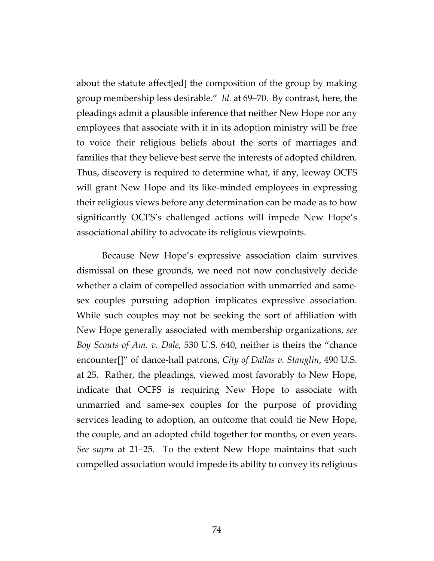about the statute affect[ed] the composition of the group by making group membership less desirable." *Id.* at 69–70. By contrast, here, the pleadings admit a plausible inference that neither New Hope nor any employees that associate with it in its adoption ministry will be free to voice their religious beliefs about the sorts of marriages and families that they believe best serve the interests of adopted children. Thus, discovery is required to determine what, if any, leeway OCFS will grant New Hope and its like-minded employees in expressing their religious views before any determination can be made as to how significantly OCFS's challenged actions will impede New Hope's associational ability to advocate its religious viewpoints.

Because New Hope's expressive association claim survives dismissal on these grounds, we need not now conclusively decide whether a claim of compelled association with unmarried and samesex couples pursuing adoption implicates expressive association. While such couples may not be seeking the sort of affiliation with New Hope generally associated with membership organizations, *see Boy Scouts of Am. v. Dale*, 530 U.S. 640, neither is theirs the "chance encounter[]" of dance-hall patrons, *City of Dallas v. Stanglin*, 490 U.S. at 25. Rather, the pleadings, viewed most favorably to New Hope, indicate that OCFS is requiring New Hope to associate with unmarried and same-sex couples for the purpose of providing services leading to adoption, an outcome that could tie New Hope, the couple, and an adopted child together for months, or even years. *See supra* at 21–25. To the extent New Hope maintains that such compelled association would impede its ability to convey its religious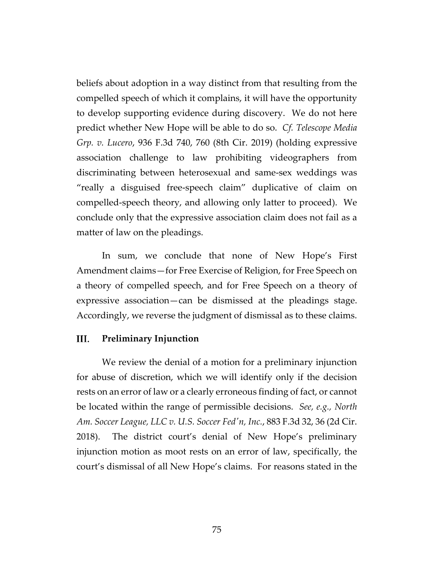beliefs about adoption in a way distinct from that resulting from the compelled speech of which it complains, it will have the opportunity to develop supporting evidence during discovery. We do not here predict whether New Hope will be able to do so. *Cf. Telescope Media Grp. v. Lucero*, 936 F.3d 740, 760 (8th Cir. 2019) (holding expressive association challenge to law prohibiting videographers from discriminating between heterosexual and same-sex weddings was "really a disguised free-speech claim" duplicative of claim on compelled-speech theory, and allowing only latter to proceed). We conclude only that the expressive association claim does not fail as a matter of law on the pleadings.

In sum, we conclude that none of New Hope's First Amendment claims—for Free Exercise of Religion, for Free Speech on a theory of compelled speech, and for Free Speech on a theory of expressive association—can be dismissed at the pleadings stage. Accordingly, we reverse the judgment of dismissal as to these claims.

## III. **Preliminary Injunction**

We review the denial of a motion for a preliminary injunction for abuse of discretion, which we will identify only if the decision rests on an error of law or a clearly erroneous finding of fact, or cannot be located within the range of permissible decisions. *See, e.g., North Am. Soccer League, LLC v. U.S. Soccer Fed'n, Inc.*, 883 F.3d 32, 36 (2d Cir. 2018). The district court's denial of New Hope's preliminary injunction motion as moot rests on an error of law, specifically, the court's dismissal of all New Hope's claims. For reasons stated in the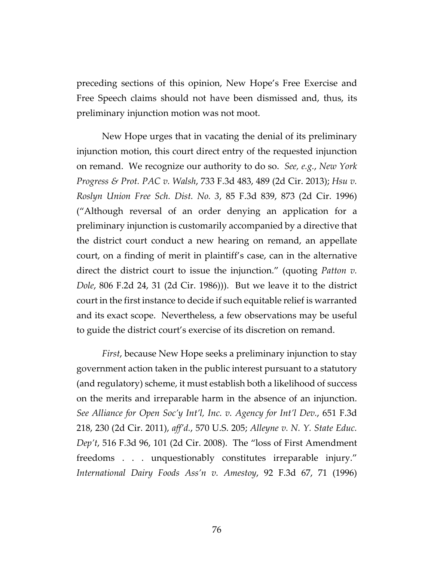preceding sections of this opinion, New Hope's Free Exercise and Free Speech claims should not have been dismissed and, thus, its preliminary injunction motion was not moot.

New Hope urges that in vacating the denial of its preliminary injunction motion, this court direct entry of the requested injunction on remand. We recognize our authority to do so. *See, e.g.*, *New York Progress & Prot. PAC v. Walsh*, 733 F.3d 483, 489 (2d Cir. 2013); *Hsu v. Roslyn Union Free Sch. Dist. No. 3*, 85 F.3d 839, 873 (2d Cir. 1996) ("Although reversal of an order denying an application for a preliminary injunction is customarily accompanied by a directive that the district court conduct a new hearing on remand, an appellate court, on a finding of merit in plaintiff's case, can in the alternative direct the district court to issue the injunction." (quoting *Patton v. Dole*, 806 F.2d 24, 31 (2d Cir. 1986))).But we leave it to the district court in the first instance to decide if such equitable relief is warranted and its exact scope. Nevertheless, a few observations may be useful to guide the district court's exercise of its discretion on remand.

*First*, because New Hope seeks a preliminary injunction to stay government action taken in the public interest pursuant to a statutory (and regulatory) scheme, it must establish both a likelihood of success on the merits and irreparable harm in the absence of an injunction. *See Alliance for Open Soc'y Int'l, Inc. v. Agency for Int'l Dev.*, 651 F.3d 218, 230 (2d Cir. 2011), *aff'd.*, 570 U.S. 205; *Alleyne v. N. Y. State Educ. Dep't*, 516 F.3d 96, 101 (2d Cir. 2008). The "loss of First Amendment freedoms . . . unquestionably constitutes irreparable injury." *International Dairy Foods Ass'n v. Amestoy*, 92 F.3d 67, 71 (1996)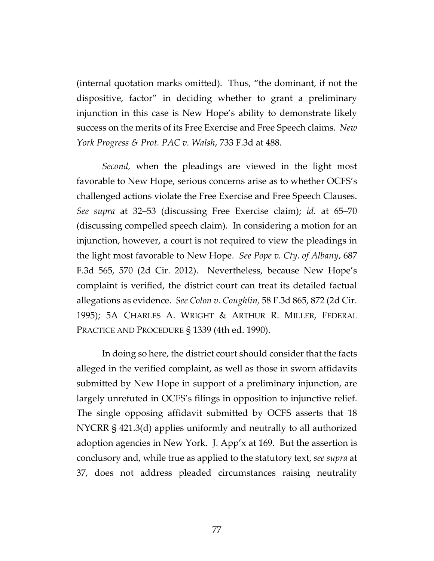(internal quotation marks omitted). Thus, "the dominant, if not the dispositive, factor" in deciding whether to grant a preliminary injunction in this case is New Hope's ability to demonstrate likely success on the merits of its Free Exercise and Free Speech claims. *New York Progress & Prot. PAC v. Walsh*, 733 F.3d at 488.

*Second,* when the pleadings are viewed in the light most favorable to New Hope, serious concerns arise as to whether OCFS's challenged actions violate the Free Exercise and Free Speech Clauses. *See supra* at 32–53 (discussing Free Exercise claim); *id.* at 65–70 (discussing compelled speech claim). In considering a motion for an injunction, however, a court is not required to view the pleadings in the light most favorable to New Hope. *See Pope v. Cty. of Albany*, 687 F.3d 565, 570 (2d Cir. 2012).Nevertheless, because New Hope's complaint is verified, the district court can treat its detailed factual allegations as evidence. *See Colon v. Coughlin,* 58 F.3d 865, 872 (2d Cir. 1995); 5A CHARLES A. WRIGHT & ARTHUR R. MILLER, FEDERAL PRACTICE AND PROCEDURE § 1339 (4th ed. 1990).

In doing so here, the district court should consider that the facts alleged in the verified complaint, as well as those in sworn affidavits submitted by New Hope in support of a preliminary injunction, are largely unrefuted in OCFS's filings in opposition to injunctive relief. The single opposing affidavit submitted by OCFS asserts that 18 NYCRR § 421.3(d) applies uniformly and neutrally to all authorized adoption agencies in New York. J. App'x at 169. But the assertion is conclusory and, while true as applied to the statutory text, *see supra* at 37, does not address pleaded circumstances raising neutrality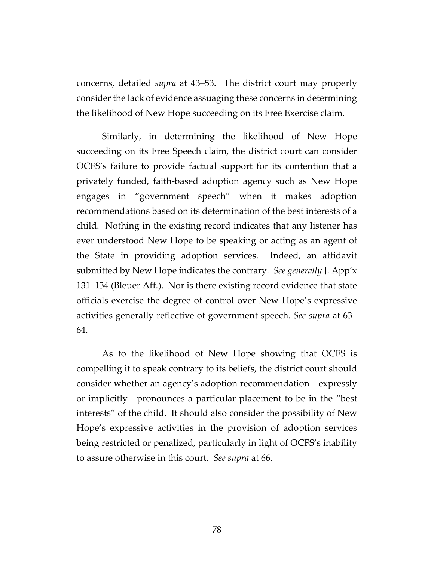concerns, detailed *supra* at 43–53. The district court may properly consider the lack of evidence assuaging these concerns in determining the likelihood of New Hope succeeding on its Free Exercise claim.

Similarly, in determining the likelihood of New Hope succeeding on its Free Speech claim, the district court can consider OCFS's failure to provide factual support for its contention that a privately funded, faith-based adoption agency such as New Hope engages in "government speech" when it makes adoption recommendations based on its determination of the best interests of a child. Nothing in the existing record indicates that any listener has ever understood New Hope to be speaking or acting as an agent of the State in providing adoption services. Indeed, an affidavit submitted by New Hope indicates the contrary. *See generally* J. App'x 131–134 (Bleuer Aff.). Nor is there existing record evidence that state officials exercise the degree of control over New Hope's expressive activities generally reflective of government speech. *See supra* at 63– 64.

As to the likelihood of New Hope showing that OCFS is compelling it to speak contrary to its beliefs, the district court should consider whether an agency's adoption recommendation—expressly or implicitly—pronounces a particular placement to be in the "best interests" of the child. It should also consider the possibility of New Hope's expressive activities in the provision of adoption services being restricted or penalized, particularly in light of OCFS's inability to assure otherwise in this court. *See supra* at 66.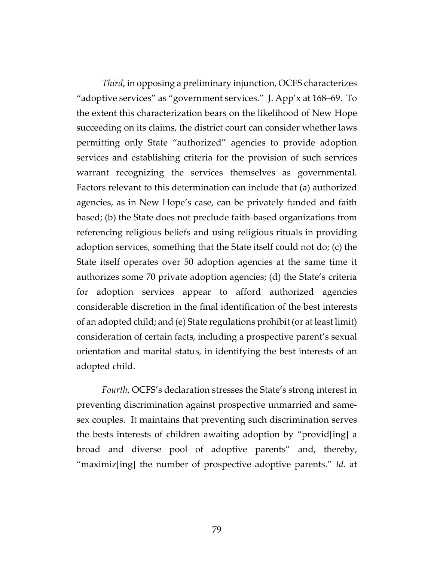*Third*, in opposing a preliminary injunction, OCFS characterizes "adoptive services" as "government services." J. App'x at 168–69. To the extent this characterization bears on the likelihood of New Hope succeeding on its claims, the district court can consider whether laws permitting only State "authorized" agencies to provide adoption services and establishing criteria for the provision of such services warrant recognizing the services themselves as governmental. Factors relevant to this determination can include that (a) authorized agencies, as in New Hope's case, can be privately funded and faith based; (b) the State does not preclude faith-based organizations from referencing religious beliefs and using religious rituals in providing adoption services, something that the State itself could not do; (c) the State itself operates over 50 adoption agencies at the same time it authorizes some 70 private adoption agencies; (d) the State's criteria for adoption services appear to afford authorized agencies considerable discretion in the final identification of the best interests of an adopted child; and (e) State regulations prohibit (or at least limit) consideration of certain facts, including a prospective parent's sexual orientation and marital status, in identifying the best interests of an adopted child.

*Fourth*, OCFS's declaration stresses the State's strong interest in preventing discrimination against prospective unmarried and samesex couples. It maintains that preventing such discrimination serves the bests interests of children awaiting adoption by "provid[ing] a broad and diverse pool of adoptive parents" and, thereby, "maximiz[ing] the number of prospective adoptive parents." *Id.* at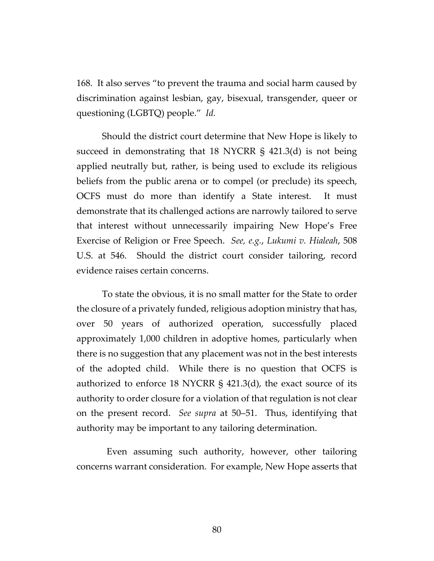168. It also serves "to prevent the trauma and social harm caused by discrimination against lesbian, gay, bisexual, transgender, queer or questioning (LGBTQ) people." *Id.*

Should the district court determine that New Hope is likely to succeed in demonstrating that 18 NYCRR § 421.3(d) is not being applied neutrally but, rather, is being used to exclude its religious beliefs from the public arena or to compel (or preclude) its speech, OCFS must do more than identify a State interest. It must demonstrate that its challenged actions are narrowly tailored to serve that interest without unnecessarily impairing New Hope's Free Exercise of Religion or Free Speech. *See, e.g.*, *Lukumi v. Hialeah*, 508 U.S. at 546. Should the district court consider tailoring, record evidence raises certain concerns.

To state the obvious, it is no small matter for the State to order the closure of a privately funded, religious adoption ministry that has, over 50 years of authorized operation, successfully placed approximately 1,000 children in adoptive homes, particularly when there is no suggestion that any placement was not in the best interests of the adopted child. While there is no question that OCFS is authorized to enforce 18 NYCRR § 421.3(d), the exact source of its authority to order closure for a violation of that regulation is not clear on the present record. *See supra* at 50–51. Thus, identifying that authority may be important to any tailoring determination.

 Even assuming such authority, however, other tailoring concerns warrant consideration. For example, New Hope asserts that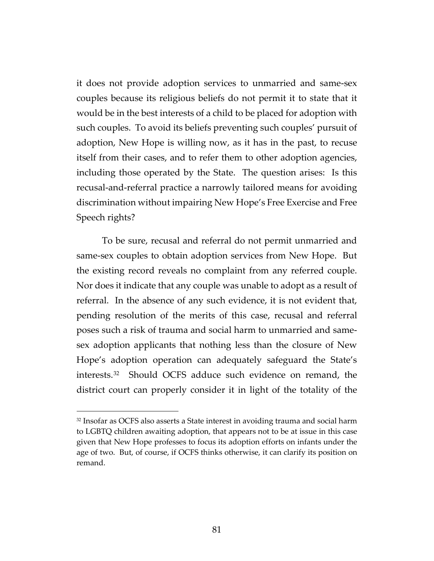it does not provide adoption services to unmarried and same-sex couples because its religious beliefs do not permit it to state that it would be in the best interests of a child to be placed for adoption with such couples. To avoid its beliefs preventing such couples' pursuit of adoption, New Hope is willing now, as it has in the past, to recuse itself from their cases, and to refer them to other adoption agencies, including those operated by the State. The question arises: Is this recusal-and-referral practice a narrowly tailored means for avoiding discrimination without impairing New Hope's Free Exercise and Free Speech rights?

To be sure, recusal and referral do not permit unmarried and same-sex couples to obtain adoption services from New Hope. But the existing record reveals no complaint from any referred couple. Nor does it indicate that any couple was unable to adopt as a result of referral. In the absence of any such evidence, it is not evident that, pending resolution of the merits of this case, recusal and referral poses such a risk of trauma and social harm to unmarried and samesex adoption applicants that nothing less than the closure of New Hope's adoption operation can adequately safeguard the State's interests.[32](#page-80-0) Should OCFS adduce such evidence on remand, the district court can properly consider it in light of the totality of the

 $\overline{a}$ 

<span id="page-80-0"></span><sup>&</sup>lt;sup>32</sup> Insofar as OCFS also asserts a State interest in avoiding trauma and social harm to LGBTQ children awaiting adoption, that appears not to be at issue in this case given that New Hope professes to focus its adoption efforts on infants under the age of two. But, of course, if OCFS thinks otherwise, it can clarify its position on remand.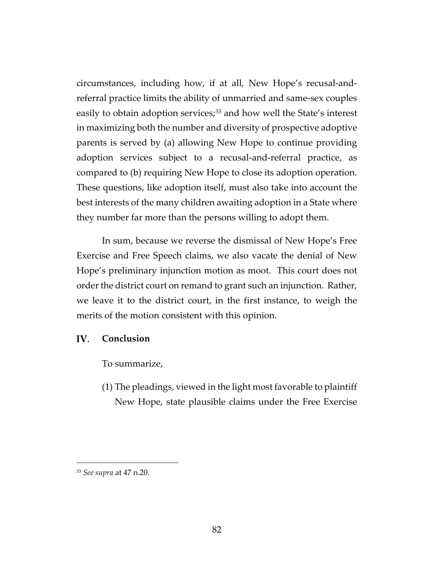circumstances, including how, if at all, New Hope's recusal-andreferral practice limits the ability of unmarried and same-sex couples easily to obtain adoption services;<sup>[33](#page-81-0)</sup> and how well the State's interest in maximizing both the number and diversity of prospective adoptive parents is served by (a) allowing New Hope to continue providing adoption services subject to a recusal-and-referral practice, as compared to (b) requiring New Hope to close its adoption operation. These questions, like adoption itself, must also take into account the best interests of the many children awaiting adoption in a State where they number far more than the persons willing to adopt them.

In sum, because we reverse the dismissal of New Hope's Free Exercise and Free Speech claims, we also vacate the denial of New Hope's preliminary injunction motion as moot. This court does not order the district court on remand to grant such an injunction. Rather, we leave it to the district court, in the first instance, to weigh the merits of the motion consistent with this opinion.

## IV. **Conclusion**

To summarize,

(1) The pleadings, viewed in the light most favorable to plaintiff New Hope, state plausible claims under the Free Exercise

 $\overline{a}$ 

<span id="page-81-0"></span><sup>33</sup> *See supra* at 47 n.20.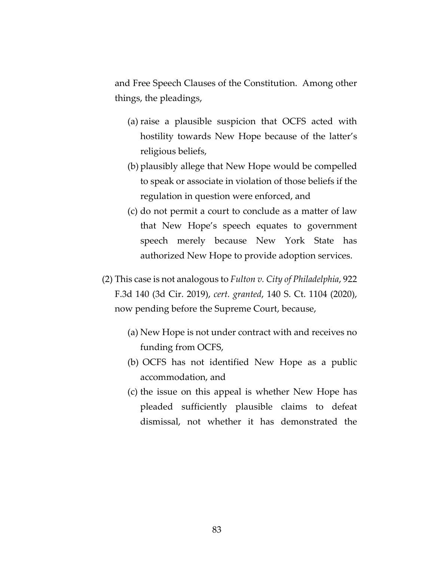and Free Speech Clauses of the Constitution. Among other things, the pleadings,

- (a) raise a plausible suspicion that OCFS acted with hostility towards New Hope because of the latter's religious beliefs,
- (b) plausibly allege that New Hope would be compelled to speak or associate in violation of those beliefs if the regulation in question were enforced, and
- (c) do not permit a court to conclude as a matter of law that New Hope's speech equates to government speech merely because New York State has authorized New Hope to provide adoption services.
- (2) This case is not analogous to *Fulton v. City of Philadelphia*, 922 F.3d 140 (3d Cir. 2019), *cert. granted*, 140 S. Ct. 1104 (2020), now pending before the Supreme Court, because,
	- (a) New Hope is not under contract with and receives no funding from OCFS,
	- (b) OCFS has not identified New Hope as a public accommodation, and
	- (c) the issue on this appeal is whether New Hope has pleaded sufficiently plausible claims to defeat dismissal, not whether it has demonstrated the